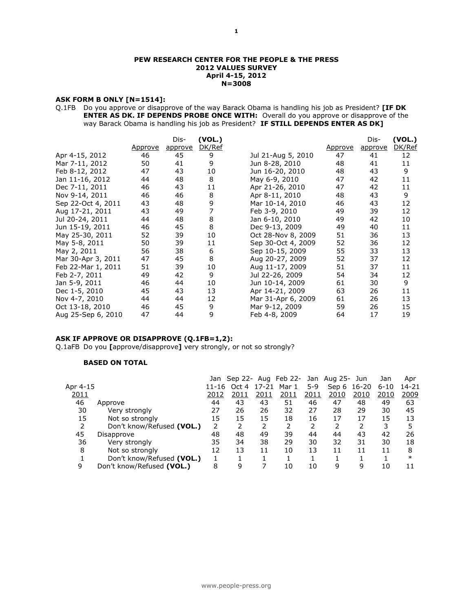#### **PEW RESEARCH CENTER FOR THE PEOPLE & THE PRESS 2012 VALUES SURVEY April 4-15, 2012 N=3008**

#### **ASK FORM B ONLY [N=1514]:**

Q.1FB Do you approve or disapprove of the way Barack Obama is handling his job as President? **[IF DK ENTER AS DK. IF DEPENDS PROBE ONCE WITH:** Overall do you approve or disapprove of the way Barack Obama is handling his job as President? **IF STILL DEPENDS ENTER AS DK]** 

|                    |         | Dis-    | (VOL.) |                    |                | Dis-    | (VOL.) |
|--------------------|---------|---------|--------|--------------------|----------------|---------|--------|
|                    | Approve | approve | DK/Ref |                    | <u>Approve</u> | approve | DK/Ref |
| Apr 4-15, 2012     | 46      | 45      | 9      | Jul 21-Aug 5, 2010 | 47             | 41      | 12     |
| Mar 7-11, 2012     | 50      | 41      | 9      | Jun 8-28, 2010     | 48             | 41      | 11     |
| Feb 8-12, 2012     | 47      | 43      | 10     | Jun 16-20, 2010    | 48             | 43      | 9      |
| Jan 11-16, 2012    | 44      | 48      | 8      | May 6-9, 2010      | 47             | 42      | 11     |
| Dec 7-11, 2011     | 46      | 43      | 11     | Apr 21-26, 2010    | 47             | 42      | 11     |
| Nov 9-14, 2011     | 46      | 46      | 8      | Apr 8-11, 2010     | 48             | 43      | 9      |
| Sep 22-Oct 4, 2011 | 43      | 48      | 9      | Mar 10-14, 2010    | 46             | 43      | 12     |
| Aug 17-21, 2011    | 43      | 49      | 7      | Feb 3-9, 2010      | 49             | 39      | 12     |
| Jul 20-24, 2011    | 44      | 48      | 8      | Jan 6-10, 2010     | 49             | 42      | 10     |
| Jun 15-19, 2011    | 46      | 45      | 8      | Dec 9-13, 2009     | 49             | 40      | 11     |
| May 25-30, 2011    | 52      | 39      | 10     | Oct 28-Nov 8, 2009 | 51             | 36      | 13     |
| May 5-8, 2011      | 50      | 39      | 11     | Sep 30-Oct 4, 2009 | 52             | 36      | 12     |
| May 2, 2011        | 56      | 38      | 6      | Sep 10-15, 2009    | 55             | 33      | 13     |
| Mar 30-Apr 3, 2011 | 47      | 45      | 8      | Aug 20-27, 2009    | 52             | 37      | 12     |
| Feb 22-Mar 1, 2011 | 51      | 39      | 10     | Aug 11-17, 2009    | 51             | 37      | 11     |
| Feb 2-7, 2011      | 49      | 42      | 9      | Jul 22-26, 2009    | 54             | 34      | 12     |
| Jan 5-9, 2011      | 46      | 44      | 10     | Jun 10-14, 2009    | 61             | 30      | 9      |
| Dec 1-5, 2010      | 45      | 43      | 13     | Apr 14-21, 2009    | 63             | 26      | 11     |
| Nov 4-7, 2010      | 44      | 44      | 12     | Mar 31-Apr 6, 2009 | 61             | 26      | 13     |
| Oct 13-18, 2010    | 46      | 45      | 9      | Mar 9-12, 2009     | 59             | 26      | 15     |
| Aug 25-Sep 6, 2010 | 47      | 44      | 9      | Feb 4-8, 2009      | 64             | 17      | 19     |

#### **ASK IF APPROVE OR DISAPPROVE (Q.1FB=1,2):**

Q.1aFB Do you **[**approve/disapprove**]** very strongly, or not so strongly?

#### **BASED ON TOTAL**

|          |                           |       |       |       |       |       | Jan Sep 22- Aug Feb 22- Jan Aug 25- Jun |             | Jan      | Apr    |
|----------|---------------------------|-------|-------|-------|-------|-------|-----------------------------------------|-------------|----------|--------|
| Apr 4-15 |                           | 11-16 | Oct 4 | 17-21 | Mar 1 | $5-9$ |                                         | Sep 6 16-20 | $6 - 10$ | 14-21  |
| 2011     |                           | 2012  | 2011  | 2011  | 2011  | 2011  | 2010                                    | 2010        | 2010     | 2009   |
| 46       | Approve                   | 44    | 43    | 43    | 51    | 46    | 47                                      | 48          | 49       | 63     |
| 30       | Very strongly             | 27    | 26    | 26    | 32    | 27    | 28                                      | 29          | 30       | 45     |
| 15       | Not so strongly           | 15    | 15    | 15    | 18    | 16    | 17                                      | 17          | 15       | 13     |
|          | Don't know/Refused (VOL.) | 2     |       |       |       |       |                                         |             | 3        |        |
| 45       | Disapprove                | 48    | 48    | 49    | 39    | 44    | 44                                      | 43          | 42       | 26     |
| 36       | Very strongly             | 35    | 34    | 38    | 29    | 30    | 32                                      | 31          | 30       | 18     |
| 8        | Not so strongly           | 12    | 13    | 11    | 10    | 13    | 11                                      | 11          | 11       | 8      |
|          | Don't know/Refused (VOL.) |       |       |       |       |       |                                         |             |          | $\ast$ |
| 9        | Don't know/Refused (VOL.) | 8     | 9     |       | 10    | 10    | q                                       | 9           | 10       | 11     |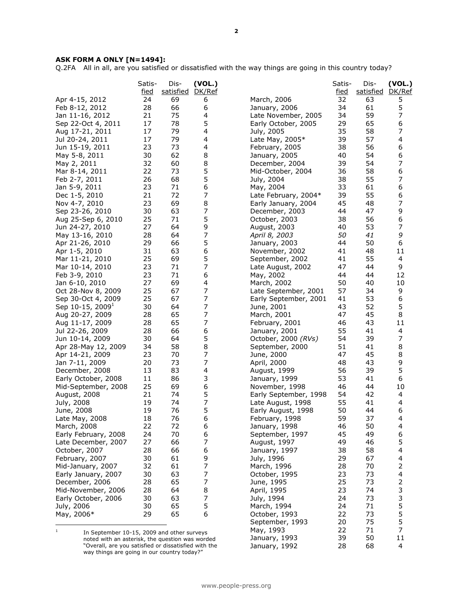#### **ASK FORM A ONLY [N=1494]:**

Q.2FA All in all, are you satisfied or dissatisfied with the way things are going in this country today?

| DK/Ref<br><u>fied</u><br>satisfied<br><u>fied</u><br>satisfied<br>32<br>5<br>Apr 4-15, 2012<br>24<br>69<br>March, 2006<br>63<br>6<br>5<br>28<br>66<br>6<br>34<br>61<br>Feb 8-12, 2012<br>January, 2006<br>75<br>7<br>21<br>4<br>34<br>59<br>Jan 11-16, 2012<br>Late November, 2005<br>5<br>17<br>78<br>29<br>65<br>6<br>Sep 22-Oct 4, 2011<br>Early October, 2005<br>7<br>17<br>79<br>4<br>35<br>58<br>Aug 17-21, 2011<br>July, 2005<br>79<br>57<br>4<br>17<br>4<br>39<br>Jul 20-24, 2011<br>Late May, 2005*<br>23<br>73<br>56<br>6<br>4<br>38<br>Jun 15-19, 2011<br>February, 2005<br>62<br>30<br>8<br>40<br>54<br>6<br>May 5-8, 2011<br>January, 2005<br>7<br>8<br>32<br>60<br>39<br>54<br>May 2, 2011<br>December, 2004<br>5<br>6<br>73<br>22<br>36<br>58<br>Mar 8-14, 2011<br>Mid-October, 2004<br>7<br>5<br>26<br>68<br>55<br>Feb 2-7, 2011<br>July, 2004<br>38<br>6<br>6<br>23<br>71<br>33<br>61<br>Jan 5-9, 2011<br>May, 2004<br>7<br>72<br>55<br>6<br>21<br>39<br>Late February, 2004*<br>Dec 1-5, 2010<br>8<br>7<br>69<br>Nov 4-7, 2010<br>23<br>45<br>48<br>Early January, 2004<br>7<br>9<br>30<br>63<br>Sep 23-26, 2010<br>December, 2003<br>44<br>47<br>5<br>6<br>25<br>71<br>38<br>56<br>Aug 25-Sep 6, 2010<br>October, 2003<br>9<br>7<br>27<br>64<br>40<br>53<br>August, 2003<br>Jun 24-27, 2010<br>7<br>9<br>28<br>64<br>50<br>41<br>May 13-16, 2010<br>April 8, 2003<br>5<br>29<br>50<br>66<br>44<br>6<br>Apr 21-26, 2010<br>January, 2003<br>6<br>31<br>63<br>48<br>11<br>41<br>Apr 1-5, 2010<br>November, 2002<br>5<br>55<br>25<br>69<br>4<br>Mar 11-21, 2010<br>September, 2002<br>41<br>7<br>Mar 10-14, 2010<br>23<br>71<br>47<br>44<br>9<br>Late August, 2002<br>23<br>71<br>6<br>12<br>Feb 3-9, 2010<br>44<br>44<br>May, 2002<br>27<br>69<br>4<br>50<br>40<br>10<br>March, 2002<br>Jan 6-10, 2010<br>7<br>25<br>9<br>67<br>57<br>34<br>Oct 28-Nov 8, 2009<br>Late September, 2001<br>7<br>25<br>67<br>53<br>Sep 30-Oct 4, 2009<br>41<br>6<br>Early September, 2001<br>7<br>5<br>30<br>64<br>43<br>52<br>Sep 10-15, 2009 <sup>1</sup><br>June, 2001<br>7<br>65<br>28<br>47<br>45<br>8<br>Aug 20-27, 2009<br>March, 2001<br>7<br>28<br>65<br>43<br>11<br>Aug 11-17, 2009<br>February, 2001<br>46<br>28<br>66<br>6<br>55<br>4<br>Jul 22-26, 2009<br>January, 2001<br>41<br>5<br>7<br>30<br>64<br>54<br>39<br>Jun 10-14, 2009<br>October, 2000 (RVs)<br>8<br>58<br>8<br>51<br>Apr 28-May 12, 2009<br>34<br>September, 2000<br>41<br>7<br>70<br>8<br>23<br>47<br>45<br>Apr 14-21, 2009<br>June, 2000<br>73<br>7<br>9<br>20<br>48<br>43<br>Jan 7-11, 2009<br>April, 2000<br>5<br>13<br>83<br>4<br>56<br>39<br>December, 2008<br>August, 1999<br>3<br>11<br>86<br>53<br>41<br>6<br>Early October, 2008<br>January, 1999<br>6<br>25<br>69<br>46<br>10<br>44<br>Mid-September, 2008<br>November, 1998<br>5<br>21<br>74<br>54<br>42<br>4<br>August, 2008<br>Early September, 1998<br>7<br>19<br>74<br>55<br>July, 2008<br>41<br>4<br>Late August, 1998<br>5<br>76<br>19<br>50<br>44<br>6<br>June, 2008<br>Early August, 1998<br>6<br>76<br>59<br>37<br>4<br>Late May, 2008<br>18<br>February, 1998<br>22<br>72<br>March, 2008<br>6<br>46<br>50<br>4<br>January, 1998<br>6<br>49<br>6<br>24<br>70<br>45<br>Early February, 2008<br>September, 1997<br>7<br>5<br>Late December, 2007<br>27<br>66<br>August, 1997<br>49<br>46<br>66<br>6<br>58<br>4<br>October, 2007<br>28<br>38<br>January, 1997<br>9<br>30<br>61<br>4<br>February, 2007<br>July, 1996<br>29<br>67<br>7<br>32<br>2<br>61<br>28<br>70<br>Mid-January, 2007<br>March, 1996<br>7<br>4<br>Early January, 2007<br>30<br>63<br>23<br>73<br>October, 1995<br>7<br>2<br>65<br>28<br>25<br>73<br>December, 2006<br>June, 1995<br>3<br>8<br>23<br>Mid-November, 2006<br>28<br>64<br>74<br>April, 1995<br>7<br>3<br>30<br>63<br>24<br>73<br>Early October, 2006<br>July, 1994<br>5<br>65<br>5<br>30<br>24<br>71<br>July, 2006<br>March, 1994<br>5<br>29<br>65<br>6<br>22<br>73<br>May, 2006*<br>October, 1993<br>5<br>20<br>75<br>September, 1993<br>7<br>22<br>71<br>May, 1993<br>$\,1$<br>In September 10-15, 2009 and other surveys<br>11<br>39<br>50<br>January, 1993<br>noted with an asterisk, the question was worded<br>"Overall, are you satisfied or dissatisfied with the | Satis- | Dis- | (VOL.) |               | Satis- | Dis- | (VOL.) |
|-----------------------------------------------------------------------------------------------------------------------------------------------------------------------------------------------------------------------------------------------------------------------------------------------------------------------------------------------------------------------------------------------------------------------------------------------------------------------------------------------------------------------------------------------------------------------------------------------------------------------------------------------------------------------------------------------------------------------------------------------------------------------------------------------------------------------------------------------------------------------------------------------------------------------------------------------------------------------------------------------------------------------------------------------------------------------------------------------------------------------------------------------------------------------------------------------------------------------------------------------------------------------------------------------------------------------------------------------------------------------------------------------------------------------------------------------------------------------------------------------------------------------------------------------------------------------------------------------------------------------------------------------------------------------------------------------------------------------------------------------------------------------------------------------------------------------------------------------------------------------------------------------------------------------------------------------------------------------------------------------------------------------------------------------------------------------------------------------------------------------------------------------------------------------------------------------------------------------------------------------------------------------------------------------------------------------------------------------------------------------------------------------------------------------------------------------------------------------------------------------------------------------------------------------------------------------------------------------------------------------------------------------------------------------------------------------------------------------------------------------------------------------------------------------------------------------------------------------------------------------------------------------------------------------------------------------------------------------------------------------------------------------------------------------------------------------------------------------------------------------------------------------------------------------------------------------------------------------------------------------------------------------------------------------------------------------------------------------------------------------------------------------------------------------------------------------------------------------------------------------------------------------------------------------------------------------------------------------------------------------------------------------------------------------------------------------------------------------------------------------------------------------------------------------------------------------------------------------------------------------------------------------------------------------------------------------------------------------------------------------------------------------------------------------------------------------------------------------------------------------------------------------------------------------------------------------------------------------------------------------------|--------|------|--------|---------------|--------|------|--------|
|                                                                                                                                                                                                                                                                                                                                                                                                                                                                                                                                                                                                                                                                                                                                                                                                                                                                                                                                                                                                                                                                                                                                                                                                                                                                                                                                                                                                                                                                                                                                                                                                                                                                                                                                                                                                                                                                                                                                                                                                                                                                                                                                                                                                                                                                                                                                                                                                                                                                                                                                                                                                                                                                                                                                                                                                                                                                                                                                                                                                                                                                                                                                                                                                                                                                                                                                                                                                                                                                                                                                                                                                                                                                                                                                                                                                                                                                                                                                                                                                                                                                                                                                                                                                                                                     |        |      |        |               |        |      | DK/Ref |
|                                                                                                                                                                                                                                                                                                                                                                                                                                                                                                                                                                                                                                                                                                                                                                                                                                                                                                                                                                                                                                                                                                                                                                                                                                                                                                                                                                                                                                                                                                                                                                                                                                                                                                                                                                                                                                                                                                                                                                                                                                                                                                                                                                                                                                                                                                                                                                                                                                                                                                                                                                                                                                                                                                                                                                                                                                                                                                                                                                                                                                                                                                                                                                                                                                                                                                                                                                                                                                                                                                                                                                                                                                                                                                                                                                                                                                                                                                                                                                                                                                                                                                                                                                                                                                                     |        |      |        |               |        |      |        |
|                                                                                                                                                                                                                                                                                                                                                                                                                                                                                                                                                                                                                                                                                                                                                                                                                                                                                                                                                                                                                                                                                                                                                                                                                                                                                                                                                                                                                                                                                                                                                                                                                                                                                                                                                                                                                                                                                                                                                                                                                                                                                                                                                                                                                                                                                                                                                                                                                                                                                                                                                                                                                                                                                                                                                                                                                                                                                                                                                                                                                                                                                                                                                                                                                                                                                                                                                                                                                                                                                                                                                                                                                                                                                                                                                                                                                                                                                                                                                                                                                                                                                                                                                                                                                                                     |        |      |        |               |        |      |        |
|                                                                                                                                                                                                                                                                                                                                                                                                                                                                                                                                                                                                                                                                                                                                                                                                                                                                                                                                                                                                                                                                                                                                                                                                                                                                                                                                                                                                                                                                                                                                                                                                                                                                                                                                                                                                                                                                                                                                                                                                                                                                                                                                                                                                                                                                                                                                                                                                                                                                                                                                                                                                                                                                                                                                                                                                                                                                                                                                                                                                                                                                                                                                                                                                                                                                                                                                                                                                                                                                                                                                                                                                                                                                                                                                                                                                                                                                                                                                                                                                                                                                                                                                                                                                                                                     |        |      |        |               |        |      |        |
|                                                                                                                                                                                                                                                                                                                                                                                                                                                                                                                                                                                                                                                                                                                                                                                                                                                                                                                                                                                                                                                                                                                                                                                                                                                                                                                                                                                                                                                                                                                                                                                                                                                                                                                                                                                                                                                                                                                                                                                                                                                                                                                                                                                                                                                                                                                                                                                                                                                                                                                                                                                                                                                                                                                                                                                                                                                                                                                                                                                                                                                                                                                                                                                                                                                                                                                                                                                                                                                                                                                                                                                                                                                                                                                                                                                                                                                                                                                                                                                                                                                                                                                                                                                                                                                     |        |      |        |               |        |      |        |
|                                                                                                                                                                                                                                                                                                                                                                                                                                                                                                                                                                                                                                                                                                                                                                                                                                                                                                                                                                                                                                                                                                                                                                                                                                                                                                                                                                                                                                                                                                                                                                                                                                                                                                                                                                                                                                                                                                                                                                                                                                                                                                                                                                                                                                                                                                                                                                                                                                                                                                                                                                                                                                                                                                                                                                                                                                                                                                                                                                                                                                                                                                                                                                                                                                                                                                                                                                                                                                                                                                                                                                                                                                                                                                                                                                                                                                                                                                                                                                                                                                                                                                                                                                                                                                                     |        |      |        |               |        |      |        |
|                                                                                                                                                                                                                                                                                                                                                                                                                                                                                                                                                                                                                                                                                                                                                                                                                                                                                                                                                                                                                                                                                                                                                                                                                                                                                                                                                                                                                                                                                                                                                                                                                                                                                                                                                                                                                                                                                                                                                                                                                                                                                                                                                                                                                                                                                                                                                                                                                                                                                                                                                                                                                                                                                                                                                                                                                                                                                                                                                                                                                                                                                                                                                                                                                                                                                                                                                                                                                                                                                                                                                                                                                                                                                                                                                                                                                                                                                                                                                                                                                                                                                                                                                                                                                                                     |        |      |        |               |        |      |        |
|                                                                                                                                                                                                                                                                                                                                                                                                                                                                                                                                                                                                                                                                                                                                                                                                                                                                                                                                                                                                                                                                                                                                                                                                                                                                                                                                                                                                                                                                                                                                                                                                                                                                                                                                                                                                                                                                                                                                                                                                                                                                                                                                                                                                                                                                                                                                                                                                                                                                                                                                                                                                                                                                                                                                                                                                                                                                                                                                                                                                                                                                                                                                                                                                                                                                                                                                                                                                                                                                                                                                                                                                                                                                                                                                                                                                                                                                                                                                                                                                                                                                                                                                                                                                                                                     |        |      |        |               |        |      |        |
|                                                                                                                                                                                                                                                                                                                                                                                                                                                                                                                                                                                                                                                                                                                                                                                                                                                                                                                                                                                                                                                                                                                                                                                                                                                                                                                                                                                                                                                                                                                                                                                                                                                                                                                                                                                                                                                                                                                                                                                                                                                                                                                                                                                                                                                                                                                                                                                                                                                                                                                                                                                                                                                                                                                                                                                                                                                                                                                                                                                                                                                                                                                                                                                                                                                                                                                                                                                                                                                                                                                                                                                                                                                                                                                                                                                                                                                                                                                                                                                                                                                                                                                                                                                                                                                     |        |      |        |               |        |      |        |
|                                                                                                                                                                                                                                                                                                                                                                                                                                                                                                                                                                                                                                                                                                                                                                                                                                                                                                                                                                                                                                                                                                                                                                                                                                                                                                                                                                                                                                                                                                                                                                                                                                                                                                                                                                                                                                                                                                                                                                                                                                                                                                                                                                                                                                                                                                                                                                                                                                                                                                                                                                                                                                                                                                                                                                                                                                                                                                                                                                                                                                                                                                                                                                                                                                                                                                                                                                                                                                                                                                                                                                                                                                                                                                                                                                                                                                                                                                                                                                                                                                                                                                                                                                                                                                                     |        |      |        |               |        |      |        |
|                                                                                                                                                                                                                                                                                                                                                                                                                                                                                                                                                                                                                                                                                                                                                                                                                                                                                                                                                                                                                                                                                                                                                                                                                                                                                                                                                                                                                                                                                                                                                                                                                                                                                                                                                                                                                                                                                                                                                                                                                                                                                                                                                                                                                                                                                                                                                                                                                                                                                                                                                                                                                                                                                                                                                                                                                                                                                                                                                                                                                                                                                                                                                                                                                                                                                                                                                                                                                                                                                                                                                                                                                                                                                                                                                                                                                                                                                                                                                                                                                                                                                                                                                                                                                                                     |        |      |        |               |        |      |        |
|                                                                                                                                                                                                                                                                                                                                                                                                                                                                                                                                                                                                                                                                                                                                                                                                                                                                                                                                                                                                                                                                                                                                                                                                                                                                                                                                                                                                                                                                                                                                                                                                                                                                                                                                                                                                                                                                                                                                                                                                                                                                                                                                                                                                                                                                                                                                                                                                                                                                                                                                                                                                                                                                                                                                                                                                                                                                                                                                                                                                                                                                                                                                                                                                                                                                                                                                                                                                                                                                                                                                                                                                                                                                                                                                                                                                                                                                                                                                                                                                                                                                                                                                                                                                                                                     |        |      |        |               |        |      |        |
|                                                                                                                                                                                                                                                                                                                                                                                                                                                                                                                                                                                                                                                                                                                                                                                                                                                                                                                                                                                                                                                                                                                                                                                                                                                                                                                                                                                                                                                                                                                                                                                                                                                                                                                                                                                                                                                                                                                                                                                                                                                                                                                                                                                                                                                                                                                                                                                                                                                                                                                                                                                                                                                                                                                                                                                                                                                                                                                                                                                                                                                                                                                                                                                                                                                                                                                                                                                                                                                                                                                                                                                                                                                                                                                                                                                                                                                                                                                                                                                                                                                                                                                                                                                                                                                     |        |      |        |               |        |      |        |
|                                                                                                                                                                                                                                                                                                                                                                                                                                                                                                                                                                                                                                                                                                                                                                                                                                                                                                                                                                                                                                                                                                                                                                                                                                                                                                                                                                                                                                                                                                                                                                                                                                                                                                                                                                                                                                                                                                                                                                                                                                                                                                                                                                                                                                                                                                                                                                                                                                                                                                                                                                                                                                                                                                                                                                                                                                                                                                                                                                                                                                                                                                                                                                                                                                                                                                                                                                                                                                                                                                                                                                                                                                                                                                                                                                                                                                                                                                                                                                                                                                                                                                                                                                                                                                                     |        |      |        |               |        |      |        |
|                                                                                                                                                                                                                                                                                                                                                                                                                                                                                                                                                                                                                                                                                                                                                                                                                                                                                                                                                                                                                                                                                                                                                                                                                                                                                                                                                                                                                                                                                                                                                                                                                                                                                                                                                                                                                                                                                                                                                                                                                                                                                                                                                                                                                                                                                                                                                                                                                                                                                                                                                                                                                                                                                                                                                                                                                                                                                                                                                                                                                                                                                                                                                                                                                                                                                                                                                                                                                                                                                                                                                                                                                                                                                                                                                                                                                                                                                                                                                                                                                                                                                                                                                                                                                                                     |        |      |        |               |        |      |        |
|                                                                                                                                                                                                                                                                                                                                                                                                                                                                                                                                                                                                                                                                                                                                                                                                                                                                                                                                                                                                                                                                                                                                                                                                                                                                                                                                                                                                                                                                                                                                                                                                                                                                                                                                                                                                                                                                                                                                                                                                                                                                                                                                                                                                                                                                                                                                                                                                                                                                                                                                                                                                                                                                                                                                                                                                                                                                                                                                                                                                                                                                                                                                                                                                                                                                                                                                                                                                                                                                                                                                                                                                                                                                                                                                                                                                                                                                                                                                                                                                                                                                                                                                                                                                                                                     |        |      |        |               |        |      |        |
|                                                                                                                                                                                                                                                                                                                                                                                                                                                                                                                                                                                                                                                                                                                                                                                                                                                                                                                                                                                                                                                                                                                                                                                                                                                                                                                                                                                                                                                                                                                                                                                                                                                                                                                                                                                                                                                                                                                                                                                                                                                                                                                                                                                                                                                                                                                                                                                                                                                                                                                                                                                                                                                                                                                                                                                                                                                                                                                                                                                                                                                                                                                                                                                                                                                                                                                                                                                                                                                                                                                                                                                                                                                                                                                                                                                                                                                                                                                                                                                                                                                                                                                                                                                                                                                     |        |      |        |               |        |      |        |
|                                                                                                                                                                                                                                                                                                                                                                                                                                                                                                                                                                                                                                                                                                                                                                                                                                                                                                                                                                                                                                                                                                                                                                                                                                                                                                                                                                                                                                                                                                                                                                                                                                                                                                                                                                                                                                                                                                                                                                                                                                                                                                                                                                                                                                                                                                                                                                                                                                                                                                                                                                                                                                                                                                                                                                                                                                                                                                                                                                                                                                                                                                                                                                                                                                                                                                                                                                                                                                                                                                                                                                                                                                                                                                                                                                                                                                                                                                                                                                                                                                                                                                                                                                                                                                                     |        |      |        |               |        |      |        |
|                                                                                                                                                                                                                                                                                                                                                                                                                                                                                                                                                                                                                                                                                                                                                                                                                                                                                                                                                                                                                                                                                                                                                                                                                                                                                                                                                                                                                                                                                                                                                                                                                                                                                                                                                                                                                                                                                                                                                                                                                                                                                                                                                                                                                                                                                                                                                                                                                                                                                                                                                                                                                                                                                                                                                                                                                                                                                                                                                                                                                                                                                                                                                                                                                                                                                                                                                                                                                                                                                                                                                                                                                                                                                                                                                                                                                                                                                                                                                                                                                                                                                                                                                                                                                                                     |        |      |        |               |        |      |        |
|                                                                                                                                                                                                                                                                                                                                                                                                                                                                                                                                                                                                                                                                                                                                                                                                                                                                                                                                                                                                                                                                                                                                                                                                                                                                                                                                                                                                                                                                                                                                                                                                                                                                                                                                                                                                                                                                                                                                                                                                                                                                                                                                                                                                                                                                                                                                                                                                                                                                                                                                                                                                                                                                                                                                                                                                                                                                                                                                                                                                                                                                                                                                                                                                                                                                                                                                                                                                                                                                                                                                                                                                                                                                                                                                                                                                                                                                                                                                                                                                                                                                                                                                                                                                                                                     |        |      |        |               |        |      |        |
|                                                                                                                                                                                                                                                                                                                                                                                                                                                                                                                                                                                                                                                                                                                                                                                                                                                                                                                                                                                                                                                                                                                                                                                                                                                                                                                                                                                                                                                                                                                                                                                                                                                                                                                                                                                                                                                                                                                                                                                                                                                                                                                                                                                                                                                                                                                                                                                                                                                                                                                                                                                                                                                                                                                                                                                                                                                                                                                                                                                                                                                                                                                                                                                                                                                                                                                                                                                                                                                                                                                                                                                                                                                                                                                                                                                                                                                                                                                                                                                                                                                                                                                                                                                                                                                     |        |      |        |               |        |      |        |
|                                                                                                                                                                                                                                                                                                                                                                                                                                                                                                                                                                                                                                                                                                                                                                                                                                                                                                                                                                                                                                                                                                                                                                                                                                                                                                                                                                                                                                                                                                                                                                                                                                                                                                                                                                                                                                                                                                                                                                                                                                                                                                                                                                                                                                                                                                                                                                                                                                                                                                                                                                                                                                                                                                                                                                                                                                                                                                                                                                                                                                                                                                                                                                                                                                                                                                                                                                                                                                                                                                                                                                                                                                                                                                                                                                                                                                                                                                                                                                                                                                                                                                                                                                                                                                                     |        |      |        |               |        |      |        |
|                                                                                                                                                                                                                                                                                                                                                                                                                                                                                                                                                                                                                                                                                                                                                                                                                                                                                                                                                                                                                                                                                                                                                                                                                                                                                                                                                                                                                                                                                                                                                                                                                                                                                                                                                                                                                                                                                                                                                                                                                                                                                                                                                                                                                                                                                                                                                                                                                                                                                                                                                                                                                                                                                                                                                                                                                                                                                                                                                                                                                                                                                                                                                                                                                                                                                                                                                                                                                                                                                                                                                                                                                                                                                                                                                                                                                                                                                                                                                                                                                                                                                                                                                                                                                                                     |        |      |        |               |        |      |        |
|                                                                                                                                                                                                                                                                                                                                                                                                                                                                                                                                                                                                                                                                                                                                                                                                                                                                                                                                                                                                                                                                                                                                                                                                                                                                                                                                                                                                                                                                                                                                                                                                                                                                                                                                                                                                                                                                                                                                                                                                                                                                                                                                                                                                                                                                                                                                                                                                                                                                                                                                                                                                                                                                                                                                                                                                                                                                                                                                                                                                                                                                                                                                                                                                                                                                                                                                                                                                                                                                                                                                                                                                                                                                                                                                                                                                                                                                                                                                                                                                                                                                                                                                                                                                                                                     |        |      |        |               |        |      |        |
|                                                                                                                                                                                                                                                                                                                                                                                                                                                                                                                                                                                                                                                                                                                                                                                                                                                                                                                                                                                                                                                                                                                                                                                                                                                                                                                                                                                                                                                                                                                                                                                                                                                                                                                                                                                                                                                                                                                                                                                                                                                                                                                                                                                                                                                                                                                                                                                                                                                                                                                                                                                                                                                                                                                                                                                                                                                                                                                                                                                                                                                                                                                                                                                                                                                                                                                                                                                                                                                                                                                                                                                                                                                                                                                                                                                                                                                                                                                                                                                                                                                                                                                                                                                                                                                     |        |      |        |               |        |      |        |
|                                                                                                                                                                                                                                                                                                                                                                                                                                                                                                                                                                                                                                                                                                                                                                                                                                                                                                                                                                                                                                                                                                                                                                                                                                                                                                                                                                                                                                                                                                                                                                                                                                                                                                                                                                                                                                                                                                                                                                                                                                                                                                                                                                                                                                                                                                                                                                                                                                                                                                                                                                                                                                                                                                                                                                                                                                                                                                                                                                                                                                                                                                                                                                                                                                                                                                                                                                                                                                                                                                                                                                                                                                                                                                                                                                                                                                                                                                                                                                                                                                                                                                                                                                                                                                                     |        |      |        |               |        |      |        |
|                                                                                                                                                                                                                                                                                                                                                                                                                                                                                                                                                                                                                                                                                                                                                                                                                                                                                                                                                                                                                                                                                                                                                                                                                                                                                                                                                                                                                                                                                                                                                                                                                                                                                                                                                                                                                                                                                                                                                                                                                                                                                                                                                                                                                                                                                                                                                                                                                                                                                                                                                                                                                                                                                                                                                                                                                                                                                                                                                                                                                                                                                                                                                                                                                                                                                                                                                                                                                                                                                                                                                                                                                                                                                                                                                                                                                                                                                                                                                                                                                                                                                                                                                                                                                                                     |        |      |        |               |        |      |        |
|                                                                                                                                                                                                                                                                                                                                                                                                                                                                                                                                                                                                                                                                                                                                                                                                                                                                                                                                                                                                                                                                                                                                                                                                                                                                                                                                                                                                                                                                                                                                                                                                                                                                                                                                                                                                                                                                                                                                                                                                                                                                                                                                                                                                                                                                                                                                                                                                                                                                                                                                                                                                                                                                                                                                                                                                                                                                                                                                                                                                                                                                                                                                                                                                                                                                                                                                                                                                                                                                                                                                                                                                                                                                                                                                                                                                                                                                                                                                                                                                                                                                                                                                                                                                                                                     |        |      |        |               |        |      |        |
|                                                                                                                                                                                                                                                                                                                                                                                                                                                                                                                                                                                                                                                                                                                                                                                                                                                                                                                                                                                                                                                                                                                                                                                                                                                                                                                                                                                                                                                                                                                                                                                                                                                                                                                                                                                                                                                                                                                                                                                                                                                                                                                                                                                                                                                                                                                                                                                                                                                                                                                                                                                                                                                                                                                                                                                                                                                                                                                                                                                                                                                                                                                                                                                                                                                                                                                                                                                                                                                                                                                                                                                                                                                                                                                                                                                                                                                                                                                                                                                                                                                                                                                                                                                                                                                     |        |      |        |               |        |      |        |
|                                                                                                                                                                                                                                                                                                                                                                                                                                                                                                                                                                                                                                                                                                                                                                                                                                                                                                                                                                                                                                                                                                                                                                                                                                                                                                                                                                                                                                                                                                                                                                                                                                                                                                                                                                                                                                                                                                                                                                                                                                                                                                                                                                                                                                                                                                                                                                                                                                                                                                                                                                                                                                                                                                                                                                                                                                                                                                                                                                                                                                                                                                                                                                                                                                                                                                                                                                                                                                                                                                                                                                                                                                                                                                                                                                                                                                                                                                                                                                                                                                                                                                                                                                                                                                                     |        |      |        |               |        |      |        |
|                                                                                                                                                                                                                                                                                                                                                                                                                                                                                                                                                                                                                                                                                                                                                                                                                                                                                                                                                                                                                                                                                                                                                                                                                                                                                                                                                                                                                                                                                                                                                                                                                                                                                                                                                                                                                                                                                                                                                                                                                                                                                                                                                                                                                                                                                                                                                                                                                                                                                                                                                                                                                                                                                                                                                                                                                                                                                                                                                                                                                                                                                                                                                                                                                                                                                                                                                                                                                                                                                                                                                                                                                                                                                                                                                                                                                                                                                                                                                                                                                                                                                                                                                                                                                                                     |        |      |        |               |        |      |        |
|                                                                                                                                                                                                                                                                                                                                                                                                                                                                                                                                                                                                                                                                                                                                                                                                                                                                                                                                                                                                                                                                                                                                                                                                                                                                                                                                                                                                                                                                                                                                                                                                                                                                                                                                                                                                                                                                                                                                                                                                                                                                                                                                                                                                                                                                                                                                                                                                                                                                                                                                                                                                                                                                                                                                                                                                                                                                                                                                                                                                                                                                                                                                                                                                                                                                                                                                                                                                                                                                                                                                                                                                                                                                                                                                                                                                                                                                                                                                                                                                                                                                                                                                                                                                                                                     |        |      |        |               |        |      |        |
|                                                                                                                                                                                                                                                                                                                                                                                                                                                                                                                                                                                                                                                                                                                                                                                                                                                                                                                                                                                                                                                                                                                                                                                                                                                                                                                                                                                                                                                                                                                                                                                                                                                                                                                                                                                                                                                                                                                                                                                                                                                                                                                                                                                                                                                                                                                                                                                                                                                                                                                                                                                                                                                                                                                                                                                                                                                                                                                                                                                                                                                                                                                                                                                                                                                                                                                                                                                                                                                                                                                                                                                                                                                                                                                                                                                                                                                                                                                                                                                                                                                                                                                                                                                                                                                     |        |      |        |               |        |      |        |
|                                                                                                                                                                                                                                                                                                                                                                                                                                                                                                                                                                                                                                                                                                                                                                                                                                                                                                                                                                                                                                                                                                                                                                                                                                                                                                                                                                                                                                                                                                                                                                                                                                                                                                                                                                                                                                                                                                                                                                                                                                                                                                                                                                                                                                                                                                                                                                                                                                                                                                                                                                                                                                                                                                                                                                                                                                                                                                                                                                                                                                                                                                                                                                                                                                                                                                                                                                                                                                                                                                                                                                                                                                                                                                                                                                                                                                                                                                                                                                                                                                                                                                                                                                                                                                                     |        |      |        |               |        |      |        |
|                                                                                                                                                                                                                                                                                                                                                                                                                                                                                                                                                                                                                                                                                                                                                                                                                                                                                                                                                                                                                                                                                                                                                                                                                                                                                                                                                                                                                                                                                                                                                                                                                                                                                                                                                                                                                                                                                                                                                                                                                                                                                                                                                                                                                                                                                                                                                                                                                                                                                                                                                                                                                                                                                                                                                                                                                                                                                                                                                                                                                                                                                                                                                                                                                                                                                                                                                                                                                                                                                                                                                                                                                                                                                                                                                                                                                                                                                                                                                                                                                                                                                                                                                                                                                                                     |        |      |        |               |        |      |        |
|                                                                                                                                                                                                                                                                                                                                                                                                                                                                                                                                                                                                                                                                                                                                                                                                                                                                                                                                                                                                                                                                                                                                                                                                                                                                                                                                                                                                                                                                                                                                                                                                                                                                                                                                                                                                                                                                                                                                                                                                                                                                                                                                                                                                                                                                                                                                                                                                                                                                                                                                                                                                                                                                                                                                                                                                                                                                                                                                                                                                                                                                                                                                                                                                                                                                                                                                                                                                                                                                                                                                                                                                                                                                                                                                                                                                                                                                                                                                                                                                                                                                                                                                                                                                                                                     |        |      |        |               |        |      |        |
|                                                                                                                                                                                                                                                                                                                                                                                                                                                                                                                                                                                                                                                                                                                                                                                                                                                                                                                                                                                                                                                                                                                                                                                                                                                                                                                                                                                                                                                                                                                                                                                                                                                                                                                                                                                                                                                                                                                                                                                                                                                                                                                                                                                                                                                                                                                                                                                                                                                                                                                                                                                                                                                                                                                                                                                                                                                                                                                                                                                                                                                                                                                                                                                                                                                                                                                                                                                                                                                                                                                                                                                                                                                                                                                                                                                                                                                                                                                                                                                                                                                                                                                                                                                                                                                     |        |      |        |               |        |      |        |
|                                                                                                                                                                                                                                                                                                                                                                                                                                                                                                                                                                                                                                                                                                                                                                                                                                                                                                                                                                                                                                                                                                                                                                                                                                                                                                                                                                                                                                                                                                                                                                                                                                                                                                                                                                                                                                                                                                                                                                                                                                                                                                                                                                                                                                                                                                                                                                                                                                                                                                                                                                                                                                                                                                                                                                                                                                                                                                                                                                                                                                                                                                                                                                                                                                                                                                                                                                                                                                                                                                                                                                                                                                                                                                                                                                                                                                                                                                                                                                                                                                                                                                                                                                                                                                                     |        |      |        |               |        |      |        |
|                                                                                                                                                                                                                                                                                                                                                                                                                                                                                                                                                                                                                                                                                                                                                                                                                                                                                                                                                                                                                                                                                                                                                                                                                                                                                                                                                                                                                                                                                                                                                                                                                                                                                                                                                                                                                                                                                                                                                                                                                                                                                                                                                                                                                                                                                                                                                                                                                                                                                                                                                                                                                                                                                                                                                                                                                                                                                                                                                                                                                                                                                                                                                                                                                                                                                                                                                                                                                                                                                                                                                                                                                                                                                                                                                                                                                                                                                                                                                                                                                                                                                                                                                                                                                                                     |        |      |        |               |        |      |        |
|                                                                                                                                                                                                                                                                                                                                                                                                                                                                                                                                                                                                                                                                                                                                                                                                                                                                                                                                                                                                                                                                                                                                                                                                                                                                                                                                                                                                                                                                                                                                                                                                                                                                                                                                                                                                                                                                                                                                                                                                                                                                                                                                                                                                                                                                                                                                                                                                                                                                                                                                                                                                                                                                                                                                                                                                                                                                                                                                                                                                                                                                                                                                                                                                                                                                                                                                                                                                                                                                                                                                                                                                                                                                                                                                                                                                                                                                                                                                                                                                                                                                                                                                                                                                                                                     |        |      |        |               |        |      |        |
|                                                                                                                                                                                                                                                                                                                                                                                                                                                                                                                                                                                                                                                                                                                                                                                                                                                                                                                                                                                                                                                                                                                                                                                                                                                                                                                                                                                                                                                                                                                                                                                                                                                                                                                                                                                                                                                                                                                                                                                                                                                                                                                                                                                                                                                                                                                                                                                                                                                                                                                                                                                                                                                                                                                                                                                                                                                                                                                                                                                                                                                                                                                                                                                                                                                                                                                                                                                                                                                                                                                                                                                                                                                                                                                                                                                                                                                                                                                                                                                                                                                                                                                                                                                                                                                     |        |      |        |               |        |      |        |
|                                                                                                                                                                                                                                                                                                                                                                                                                                                                                                                                                                                                                                                                                                                                                                                                                                                                                                                                                                                                                                                                                                                                                                                                                                                                                                                                                                                                                                                                                                                                                                                                                                                                                                                                                                                                                                                                                                                                                                                                                                                                                                                                                                                                                                                                                                                                                                                                                                                                                                                                                                                                                                                                                                                                                                                                                                                                                                                                                                                                                                                                                                                                                                                                                                                                                                                                                                                                                                                                                                                                                                                                                                                                                                                                                                                                                                                                                                                                                                                                                                                                                                                                                                                                                                                     |        |      |        |               |        |      |        |
|                                                                                                                                                                                                                                                                                                                                                                                                                                                                                                                                                                                                                                                                                                                                                                                                                                                                                                                                                                                                                                                                                                                                                                                                                                                                                                                                                                                                                                                                                                                                                                                                                                                                                                                                                                                                                                                                                                                                                                                                                                                                                                                                                                                                                                                                                                                                                                                                                                                                                                                                                                                                                                                                                                                                                                                                                                                                                                                                                                                                                                                                                                                                                                                                                                                                                                                                                                                                                                                                                                                                                                                                                                                                                                                                                                                                                                                                                                                                                                                                                                                                                                                                                                                                                                                     |        |      |        |               |        |      |        |
|                                                                                                                                                                                                                                                                                                                                                                                                                                                                                                                                                                                                                                                                                                                                                                                                                                                                                                                                                                                                                                                                                                                                                                                                                                                                                                                                                                                                                                                                                                                                                                                                                                                                                                                                                                                                                                                                                                                                                                                                                                                                                                                                                                                                                                                                                                                                                                                                                                                                                                                                                                                                                                                                                                                                                                                                                                                                                                                                                                                                                                                                                                                                                                                                                                                                                                                                                                                                                                                                                                                                                                                                                                                                                                                                                                                                                                                                                                                                                                                                                                                                                                                                                                                                                                                     |        |      |        |               |        |      |        |
|                                                                                                                                                                                                                                                                                                                                                                                                                                                                                                                                                                                                                                                                                                                                                                                                                                                                                                                                                                                                                                                                                                                                                                                                                                                                                                                                                                                                                                                                                                                                                                                                                                                                                                                                                                                                                                                                                                                                                                                                                                                                                                                                                                                                                                                                                                                                                                                                                                                                                                                                                                                                                                                                                                                                                                                                                                                                                                                                                                                                                                                                                                                                                                                                                                                                                                                                                                                                                                                                                                                                                                                                                                                                                                                                                                                                                                                                                                                                                                                                                                                                                                                                                                                                                                                     |        |      |        |               |        |      |        |
|                                                                                                                                                                                                                                                                                                                                                                                                                                                                                                                                                                                                                                                                                                                                                                                                                                                                                                                                                                                                                                                                                                                                                                                                                                                                                                                                                                                                                                                                                                                                                                                                                                                                                                                                                                                                                                                                                                                                                                                                                                                                                                                                                                                                                                                                                                                                                                                                                                                                                                                                                                                                                                                                                                                                                                                                                                                                                                                                                                                                                                                                                                                                                                                                                                                                                                                                                                                                                                                                                                                                                                                                                                                                                                                                                                                                                                                                                                                                                                                                                                                                                                                                                                                                                                                     |        |      |        |               |        |      |        |
|                                                                                                                                                                                                                                                                                                                                                                                                                                                                                                                                                                                                                                                                                                                                                                                                                                                                                                                                                                                                                                                                                                                                                                                                                                                                                                                                                                                                                                                                                                                                                                                                                                                                                                                                                                                                                                                                                                                                                                                                                                                                                                                                                                                                                                                                                                                                                                                                                                                                                                                                                                                                                                                                                                                                                                                                                                                                                                                                                                                                                                                                                                                                                                                                                                                                                                                                                                                                                                                                                                                                                                                                                                                                                                                                                                                                                                                                                                                                                                                                                                                                                                                                                                                                                                                     |        |      |        |               |        |      |        |
|                                                                                                                                                                                                                                                                                                                                                                                                                                                                                                                                                                                                                                                                                                                                                                                                                                                                                                                                                                                                                                                                                                                                                                                                                                                                                                                                                                                                                                                                                                                                                                                                                                                                                                                                                                                                                                                                                                                                                                                                                                                                                                                                                                                                                                                                                                                                                                                                                                                                                                                                                                                                                                                                                                                                                                                                                                                                                                                                                                                                                                                                                                                                                                                                                                                                                                                                                                                                                                                                                                                                                                                                                                                                                                                                                                                                                                                                                                                                                                                                                                                                                                                                                                                                                                                     |        |      |        |               |        |      |        |
|                                                                                                                                                                                                                                                                                                                                                                                                                                                                                                                                                                                                                                                                                                                                                                                                                                                                                                                                                                                                                                                                                                                                                                                                                                                                                                                                                                                                                                                                                                                                                                                                                                                                                                                                                                                                                                                                                                                                                                                                                                                                                                                                                                                                                                                                                                                                                                                                                                                                                                                                                                                                                                                                                                                                                                                                                                                                                                                                                                                                                                                                                                                                                                                                                                                                                                                                                                                                                                                                                                                                                                                                                                                                                                                                                                                                                                                                                                                                                                                                                                                                                                                                                                                                                                                     |        |      |        |               |        |      |        |
|                                                                                                                                                                                                                                                                                                                                                                                                                                                                                                                                                                                                                                                                                                                                                                                                                                                                                                                                                                                                                                                                                                                                                                                                                                                                                                                                                                                                                                                                                                                                                                                                                                                                                                                                                                                                                                                                                                                                                                                                                                                                                                                                                                                                                                                                                                                                                                                                                                                                                                                                                                                                                                                                                                                                                                                                                                                                                                                                                                                                                                                                                                                                                                                                                                                                                                                                                                                                                                                                                                                                                                                                                                                                                                                                                                                                                                                                                                                                                                                                                                                                                                                                                                                                                                                     |        |      |        |               |        |      |        |
|                                                                                                                                                                                                                                                                                                                                                                                                                                                                                                                                                                                                                                                                                                                                                                                                                                                                                                                                                                                                                                                                                                                                                                                                                                                                                                                                                                                                                                                                                                                                                                                                                                                                                                                                                                                                                                                                                                                                                                                                                                                                                                                                                                                                                                                                                                                                                                                                                                                                                                                                                                                                                                                                                                                                                                                                                                                                                                                                                                                                                                                                                                                                                                                                                                                                                                                                                                                                                                                                                                                                                                                                                                                                                                                                                                                                                                                                                                                                                                                                                                                                                                                                                                                                                                                     |        |      |        |               |        |      |        |
|                                                                                                                                                                                                                                                                                                                                                                                                                                                                                                                                                                                                                                                                                                                                                                                                                                                                                                                                                                                                                                                                                                                                                                                                                                                                                                                                                                                                                                                                                                                                                                                                                                                                                                                                                                                                                                                                                                                                                                                                                                                                                                                                                                                                                                                                                                                                                                                                                                                                                                                                                                                                                                                                                                                                                                                                                                                                                                                                                                                                                                                                                                                                                                                                                                                                                                                                                                                                                                                                                                                                                                                                                                                                                                                                                                                                                                                                                                                                                                                                                                                                                                                                                                                                                                                     |        |      |        |               |        |      |        |
|                                                                                                                                                                                                                                                                                                                                                                                                                                                                                                                                                                                                                                                                                                                                                                                                                                                                                                                                                                                                                                                                                                                                                                                                                                                                                                                                                                                                                                                                                                                                                                                                                                                                                                                                                                                                                                                                                                                                                                                                                                                                                                                                                                                                                                                                                                                                                                                                                                                                                                                                                                                                                                                                                                                                                                                                                                                                                                                                                                                                                                                                                                                                                                                                                                                                                                                                                                                                                                                                                                                                                                                                                                                                                                                                                                                                                                                                                                                                                                                                                                                                                                                                                                                                                                                     |        |      |        |               |        |      |        |
|                                                                                                                                                                                                                                                                                                                                                                                                                                                                                                                                                                                                                                                                                                                                                                                                                                                                                                                                                                                                                                                                                                                                                                                                                                                                                                                                                                                                                                                                                                                                                                                                                                                                                                                                                                                                                                                                                                                                                                                                                                                                                                                                                                                                                                                                                                                                                                                                                                                                                                                                                                                                                                                                                                                                                                                                                                                                                                                                                                                                                                                                                                                                                                                                                                                                                                                                                                                                                                                                                                                                                                                                                                                                                                                                                                                                                                                                                                                                                                                                                                                                                                                                                                                                                                                     |        |      |        |               |        |      |        |
|                                                                                                                                                                                                                                                                                                                                                                                                                                                                                                                                                                                                                                                                                                                                                                                                                                                                                                                                                                                                                                                                                                                                                                                                                                                                                                                                                                                                                                                                                                                                                                                                                                                                                                                                                                                                                                                                                                                                                                                                                                                                                                                                                                                                                                                                                                                                                                                                                                                                                                                                                                                                                                                                                                                                                                                                                                                                                                                                                                                                                                                                                                                                                                                                                                                                                                                                                                                                                                                                                                                                                                                                                                                                                                                                                                                                                                                                                                                                                                                                                                                                                                                                                                                                                                                     |        |      |        |               |        |      |        |
|                                                                                                                                                                                                                                                                                                                                                                                                                                                                                                                                                                                                                                                                                                                                                                                                                                                                                                                                                                                                                                                                                                                                                                                                                                                                                                                                                                                                                                                                                                                                                                                                                                                                                                                                                                                                                                                                                                                                                                                                                                                                                                                                                                                                                                                                                                                                                                                                                                                                                                                                                                                                                                                                                                                                                                                                                                                                                                                                                                                                                                                                                                                                                                                                                                                                                                                                                                                                                                                                                                                                                                                                                                                                                                                                                                                                                                                                                                                                                                                                                                                                                                                                                                                                                                                     |        |      |        |               |        |      |        |
|                                                                                                                                                                                                                                                                                                                                                                                                                                                                                                                                                                                                                                                                                                                                                                                                                                                                                                                                                                                                                                                                                                                                                                                                                                                                                                                                                                                                                                                                                                                                                                                                                                                                                                                                                                                                                                                                                                                                                                                                                                                                                                                                                                                                                                                                                                                                                                                                                                                                                                                                                                                                                                                                                                                                                                                                                                                                                                                                                                                                                                                                                                                                                                                                                                                                                                                                                                                                                                                                                                                                                                                                                                                                                                                                                                                                                                                                                                                                                                                                                                                                                                                                                                                                                                                     |        |      |        | January, 1992 | 28     | 68   | 4      |

noted with an asterisk, the question was worded "Overall, are you satisfied or dissatisfied with the way things are going in our country today?"

January, 1992 28 68 4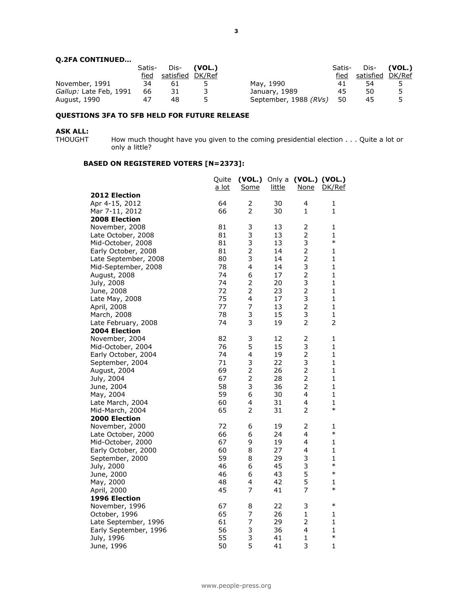#### **Q.2FA CONTINUED…**

|                        | Satis- | Dis-             | (VOL.) |                       | Satis- |                  | Dis- <b>(VOL.)</b> |
|------------------------|--------|------------------|--------|-----------------------|--------|------------------|--------------------|
|                        | fied   | satisfied DK/Ref |        |                       | fied   | satisfied DK/Ref |                    |
| November, 1991         | 34     | 61               |        | May, 1990             | 41     | 54               |                    |
| Gallup: Late Feb, 1991 | 66     | 31               |        | January, 1989         | 45     | 50               | 5                  |
| August, 1990           |        | 48               |        | September, 1988 (RVs) | -50    | 45               |                    |

#### **QUESTIONS 3FA TO 5FB HELD FOR FUTURE RELEASE**

# **ASK ALL:**

How much thought have you given to the coming presidential election . . . Quite a lot or only a little?

#### **BASED ON REGISTERED VOTERS [N=2373]:**

|                               | Quite        |                         |          | $(VOL.)$ Only a $(VOL.)$ $(VOL.)$ |                        |
|-------------------------------|--------------|-------------------------|----------|-----------------------------------|------------------------|
| <b>2012 Election</b>          | <u>a lot</u> | <u>Some</u>             | little   | <u>None</u>                       | DK/Ref                 |
| Apr 4-15, 2012                | 64           | 2                       | 30       | 4                                 | 1                      |
| Mar 7-11, 2012                | 66           | $\overline{2}$          | 30       | $\mathbf{1}$                      | $\mathbf{1}$           |
| 2008 Election                 |              |                         |          |                                   |                        |
| November, 2008                | 81           | 3                       | 13       | 2                                 | 1                      |
| Late October, 2008            | 81           | 3                       | 13       | $\overline{c}$                    | $\mathbf{1}$           |
| Mid-October, 2008             | 81           | 3                       | 13       | 3                                 | $\ast$                 |
| Early October, 2008           | 81           | $\overline{2}$          | 14       | $\overline{2}$                    | $\mathbf{1}$           |
| Late September, 2008          | 80           | 3                       | 14       | $\overline{2}$                    | 1                      |
| Mid-September, 2008           | 78           | 4                       | 14       | 3                                 | 1                      |
| August, 2008                  | 74           | 6                       | 17       | $\overline{c}$                    | $\mathbf{1}$           |
| July, 2008                    | 74           | $\overline{2}$          | 20       | 3                                 | $\mathbf{1}$           |
| June, 2008                    | 72           | $\overline{2}$          | 23       | $\overline{2}$                    | $\mathbf{1}$           |
| Late May, 2008                | 75           | $\overline{\mathbf{4}}$ | 17       | 3                                 | $\mathbf{1}$           |
| April, 2008                   | 77           | 7                       | 13       | $\overline{2}$                    | $\mathbf{1}$           |
| March, 2008                   | 78           | 3                       | 15       | 3                                 | $\mathbf{1}$           |
| Late February, 2008           | 74           | 3                       | 19       | $\overline{2}$                    | 2                      |
| <b>2004 Election</b>          |              |                         |          |                                   |                        |
| November, 2004                | 82           | 3                       | 12       | 2                                 | 1                      |
| Mid-October, 2004             | 76           | 5                       | 15       | 3                                 | 1                      |
| Early October, 2004           | 74           | 4                       | 19       | $\overline{c}$                    | 1                      |
| September, 2004               | 71           | 3                       | 22       | 3                                 | $\mathbf{1}$           |
| August, 2004                  | 69           | $\overline{2}$          | 26       | $\overline{c}$                    | $\mathbf{1}$           |
| July, 2004                    | 67           | $\overline{2}$          | 28       | $\overline{2}$                    | $\mathbf{1}$           |
| June, 2004                    | 58           | 3                       | 36       | $\overline{2}$                    | $\mathbf{1}$           |
| May, 2004                     | 59           | 6                       | 30       | 4                                 | $\mathbf{1}$           |
| Late March, 2004              | 60           | $\overline{4}$          | 31       | 4                                 | $\mathbf{1}$<br>$\ast$ |
| Mid-March, 2004               | 65           | $\overline{2}$          | 31       | $\overline{2}$                    |                        |
| <b>2000 Election</b>          |              |                         |          |                                   |                        |
| November, 2000                | 72           | 6                       | 19       | 2                                 | 1<br>$\ast$            |
| Late October, 2000            | 66<br>67     | 6                       | 24       | 4<br>4                            | 1                      |
| Mid-October, 2000             | 60           | 9<br>8                  | 19<br>27 | 4                                 | 1                      |
| Early October, 2000           | 59           | 8                       | 29       | 3                                 | $\mathbf{1}$           |
| September, 2000<br>July, 2000 | 46           | 6                       | 45       | 3                                 | $\ast$                 |
| June, 2000                    | 46           | 6                       | 43       | 5                                 | $\ast$                 |
| May, 2000                     | 48           | 4                       | 42       | 5                                 | 1                      |
| April, 2000                   | 45           | $\overline{7}$          | 41       | $\overline{7}$                    | $\ast$                 |
| <b>1996 Election</b>          |              |                         |          |                                   |                        |
| November, 1996                | 67           | 8                       | 22       | 3                                 | $\ast$                 |
| October, 1996                 | 65           | 7                       | 26       | $\mathbf{1}$                      | 1                      |
| Late September, 1996          | 61           | $\overline{7}$          | 29       | $\overline{2}$                    | $\mathbf{1}$           |
| Early September, 1996         | 56           | 3                       | 36       | 4                                 | $\mathbf{1}$           |
| July, 1996                    | 55           | 3                       | 41       | 1                                 | $\ast$                 |
| June, 1996                    | 50           | 5                       | 41       | 3                                 | $\mathbf{1}$           |
|                               |              |                         |          |                                   |                        |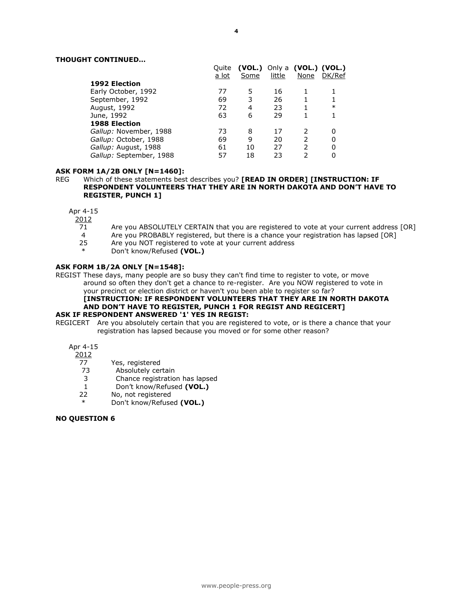#### **THOUGHT CONTINUED…**

|                         | Ouite<br>a lot | (VOL.)<br>Some | little | Only a (VOL.) (VOL.)<br>None | DK/Ref |
|-------------------------|----------------|----------------|--------|------------------------------|--------|
| <b>1992 Election</b>    |                |                |        |                              |        |
| Early October, 1992     | 77             | 5              | 16     |                              |        |
| September, 1992         | 69             | 3              | 26     |                              |        |
| August, 1992            | 72             | 4              | 23     |                              | $\ast$ |
| June, 1992              | 63             | 6              | 29     |                              |        |
| <b>1988 Election</b>    |                |                |        |                              |        |
| Gallup: November, 1988  | 73             | 8              | 17     | 2                            |        |
| Gallup: October, 1988   | 69             | 9              | 20     | $\mathcal{P}$                |        |
| Gallup: August, 1988    | 61             | 10             | 27     | っ                            |        |
| Gallup: September, 1988 | 57             | 18             | 23     | 2                            |        |

#### **ASK FORM 1A/2B ONLY [N=1460]:**

REG Which of these statements best describes you? **[READ IN ORDER] [INSTRUCTION: IF RESPONDENT VOLUNTEERS THAT THEY ARE IN NORTH DAKOTA AND DON'T HAVE TO REGISTER, PUNCH 1]**

Apr 4-15

 $\frac{2012}{71}$ 

- Are you ABSOLUTELY CERTAIN that you are registered to vote at your current address [OR]
- 4 Are you PROBABLY registered, but there is a chance your registration has lapsed [OR]<br>25 Are you NOT registered to vote at your current address
- 25 Are you NOT registered to vote at your current address
- Don't know/Refused (VOL.)

#### **ASK FORM 1B/2A ONLY [N=1548]:**

REGIST These days, many people are so busy they can't find time to register to vote, or move around so often they don't get a chance to re-register. Are you NOW registered to vote in your precinct or election district or haven't you been able to register so far?

#### **[INSTRUCTION: IF RESPONDENT VOLUNTEERS THAT THEY ARE IN NORTH DAKOTA AND DON'T HAVE TO REGISTER, PUNCH 1 FOR REGIST AND REGICERT] ASK IF RESPONDENT ANSWERED '1' YES IN REGIST:**

REGICERT Are you absolutely certain that you are registered to vote, or is there a chance that your registration has lapsed because you moved or for some other reason?

Apr 4-15

2012

- 77 Yes, registered
- 73 Absolutely certain
- 3 Chance registration has lapsed
- 1 Don't know/Refused **(VOL.)**<br>22 No, not registered
- No, not registered
- Don't know/Refused (VOL.)

#### **NO QUESTION 6**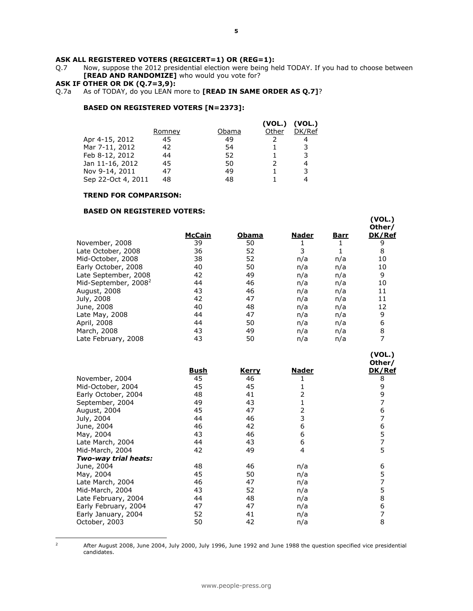**ASK ALL REGISTERED VOTERS (REGICERT=1) OR (REG=1):**<br>Q.7 Mow, suppose the 2012 presidential election were being he Now, suppose the 2012 presidential election were being held TODAY. If you had to choose between **[READ AND RANDOMIZE]** who would you vote for?

#### **ASK IF OTHER OR DK (Q.7=3,9):**

Q.7a As of TODAY, do you LEAN more to **[READ IN SAME ORDER AS Q.7]**?

#### **BASED ON REGISTERED VOTERS [N=2373]:**

|                    |        |       | (VOL.) | (VOL.) |
|--------------------|--------|-------|--------|--------|
|                    | Romney | Obama | Other  | DK/Ref |
| Apr 4-15, 2012     | 45     | 49    |        |        |
| Mar 7-11, 2012     | 42     | 54    |        | 3      |
| Feb 8-12, 2012     | 44     | 52    |        | 3      |
| Jan 11-16, 2012    | 45     | 50    |        | 4      |
| Nov 9-14, 2011     | 47     | 49    |        | 3      |
| Sep 22-Oct 4, 2011 | 48     | 48    |        |        |

#### **TREND FOR COMPARISON:**

#### **BASED ON REGISTERED VOTERS:**

|                                  |        |       |       |             | Other/ |
|----------------------------------|--------|-------|-------|-------------|--------|
|                                  | McCain | Obama | Nader | <u>Barr</u> | DK/Ref |
| November, 2008                   | 39     | 50    |       |             | 9      |
| Late October, 2008               | 36     | 52    | 3     |             | 8      |
| Mid-October, 2008                | 38     | 52    | n/a   | n/a         | 10     |
| Early October, 2008              | 40     | 50    | n/a   | n/a         | 10     |
| Late September, 2008             | 42     | 49    | n/a   | n/a         | 9      |
| Mid-September, 2008 <sup>2</sup> | 44     | 46    | n/a   | n/a         | 10     |
| August, 2008                     | 43     | 46    | n/a   | n/a         | 11     |
| July, 2008                       | 42     | 47    | n/a   | n/a         | 11     |
| June, 2008                       | 40     | 48    | n/a   | n/a         | 12     |
| Late May, 2008                   | 44     | 47    | n/a   | n/a         | 9      |
| April, 2008                      | 44     | 50    | n/a   | n/a         | 6      |
| March, 2008                      | 43     | 49    | n/a   | n/a         | 8      |
| Late February, 2008              | 43     | 50    | n/a   | n/a         |        |

**(VOL.)**

**(VOL.)**

|      |              |       | Other/ |
|------|--------------|-------|--------|
| Bush | <u>Kerry</u> | Nader | DK/Ref |
| 45   | 46           |       | 8      |
| 45   | 45           |       | 9      |
| 48   | 41           | 2     | 9      |
| 49   | 43           |       |        |
| 45   | 47           | 2     | 6      |
| 44   | 46           | 3     |        |
| 46   | 42           | 6     | 6      |
| 43   | 46           | 6     | 5      |
| 44   | 43           | 6     | 7      |
| 42   | 49           | 4     | 5      |
|      |              |       |        |
| 48   | 46           | n/a   | 6      |
| 45   | 50           | n/a   | 5      |
| 46   | 47           | n/a   |        |
| 43   | 52           | n/a   | 5      |
| 44   | 48           | n/a   | 8      |
| 47   | 47           | n/a   | 6      |
| 52   | 41           | n/a   | 7      |
| 50   | 42           | n/a   | 8      |
|      |              |       |        |

 $\mathbf 2$ 

<sup>2</sup> After August 2008, June 2004, July 2000, July 1996, June 1992 and June 1988 the question specified vice presidential candidates.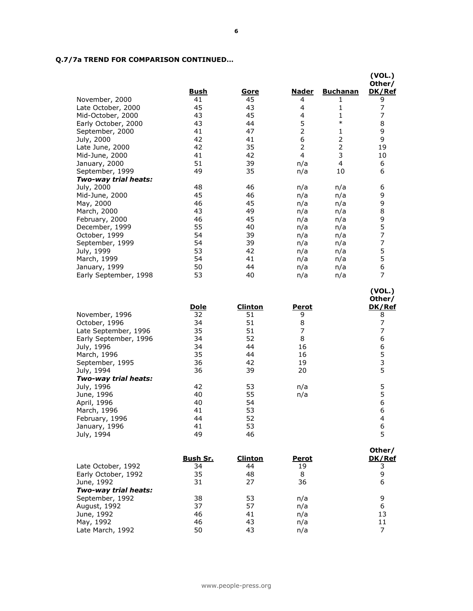### **Q.7/7a TREND FOR COMPARISON CONTINUED…**

|                       |             |             |              |                 | (VOL.)<br>Other/ |
|-----------------------|-------------|-------------|--------------|-----------------|------------------|
|                       | <u>Bush</u> | <u>Gore</u> | <u>Nader</u> | <b>Buchanan</b> | DK/Ref           |
| November, 2000        | 41          | 45          | 4            | 1               | 9                |
| Late October, 2000    | 45          | 43          | 4            | 1               | 7                |
| Mid-October, 2000     | 43          | 45          | 4            | 1               | 7                |
| Early October, 2000   | 43          | 44          | 5            | $\ast$          | 8                |
| September, 2000       | 41          | 47          | 2            | 1               | 9                |
| July, 2000            | 42          | 41          | 6            | 2               | 9                |
| Late June, 2000       | 42          | 35          | 2            | $\overline{2}$  | 19               |
| Mid-June, 2000        | 41          | 42          | 4            | 3               | 10               |
| January, 2000         | 51          | 39          | n/a          | 4               | 6                |
| September, 1999       | 49          | 35          | n/a          | 10              | 6                |
| Two-way trial heats:  |             |             |              |                 |                  |
| July, 2000            | 48          | 46          | n/a          | n/a             | 6                |
| Mid-June, 2000        | 45          | 46          | n/a          | n/a             | 9                |
| May, 2000             | 46          | 45          | n/a          | n/a             | 9                |
| March, 2000           | 43          | 49          | n/a          | n/a             | 8                |
| February, 2000        | 46          | 45          | n/a          | n/a             | 9                |
| December, 1999        | 55          | 40          | n/a          | n/a             | 5                |
| October, 1999         | 54          | 39          | n/a          | n/a             | 7                |
| September, 1999       | 54          | 39          | n/a          | n/a             | 7                |
| July, 1999            | 53          | 42          | n/a          | n/a             | 5                |
| March, 1999           | 54          | 41          | n/a          | n/a             | 5                |
| January, 1999         | 50          | 44          | n/a          | n/a             | 6                |
| Early September, 1998 | 53          | 40          | n/a          | n/a             | 7                |
|                       |             |             |              |                 |                  |

|                       |             |         |              | Other/ |
|-----------------------|-------------|---------|--------------|--------|
|                       | <u>Dole</u> | Clinton | <b>Perot</b> | DK/Ref |
| November, 1996        | 32          | 51      | 9            | 8      |
| October, 1996         | 34          | 51      | 8            |        |
| Late September, 1996  | 35          | 51      | 7            |        |
| Early September, 1996 | 34          | 52      | 8            | 6      |
| July, 1996            | 34          | 44      | 16           | 6      |
| March, 1996           | 35          | 44      | 16           | 5      |
| September, 1995       | 36          | 42      | 19           | 3      |
| July, 1994            | 36          | 39      | 20           | 5      |
| Two-way trial heats:  |             |         |              |        |
| July, 1996            | 42          | 53      | n/a          |        |
| June, 1996            | 40          | 55      | n/a          | 5      |
| April, 1996           | 40          | 54      |              | 6      |
| March, 1996           | 41          | 53      |              | 6      |
| February, 1996        | 44          | 52      |              | 4      |
| January, 1996         | 41          | 53      |              | 6      |
| July, 1994            | 49          | 46      |              |        |

**(VOL.)**

|                      |          |         |       | Other/ |
|----------------------|----------|---------|-------|--------|
|                      | Bush Sr. | Clinton | Perot | DK/Ref |
| Late October, 1992   | 34       | 44      | 19    |        |
| Early October, 1992  | 35       | 48      | 8     | 9      |
| June, 1992           | 31       | 27      | 36    | 6      |
| Two-way trial heats: |          |         |       |        |
| September, 1992      | 38       | 53      | n/a   | 9      |
| August, 1992         | 37       | 57      | n/a   | 6      |
| June, 1992           | 46       | 41      | n/a   | 13     |
| May, 1992            | 46       | 43      | n/a   |        |
| Late March, 1992     | 50       | 43      | n/a   |        |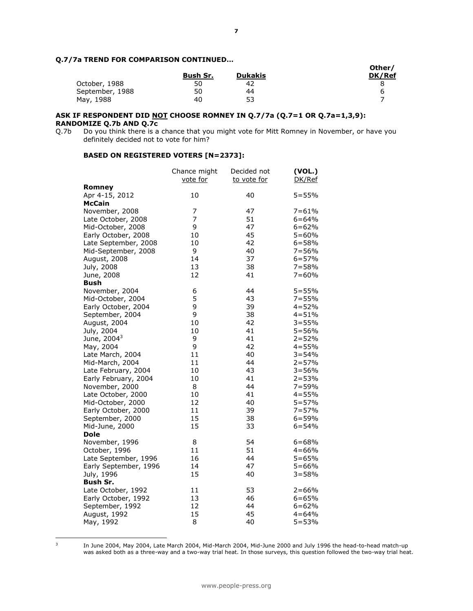#### **Q.7/7a TREND FOR COMPARISON CONTINUED…**

|                 |          |                | Other/ |
|-----------------|----------|----------------|--------|
|                 | Bush Sr. | <b>Dukakis</b> | DK/Ref |
| October, 1988   | 50       | 42             |        |
| September, 1988 | 50       | 44             |        |
| May, 1988       | 40       | 53             |        |

## **ASK IF RESPONDENT DID NOT CHOOSE ROMNEY IN Q.7/7a (Q.7=1 OR Q.7a=1,3,9): RANDOMIZE Q.7b AND Q.7c**<br>Q.7b Do you think there is a

Do you think there is a chance that you might vote for Mitt Romney in November, or have you definitely decided not to vote for him?

#### **BASED ON REGISTERED VOTERS [N=2373]:**

|                         | Chance might<br>vote for | Decided not<br>to vote for | (VOL.)<br>DK/Ref |
|-------------------------|--------------------------|----------------------------|------------------|
| Romney                  |                          |                            |                  |
| Apr 4-15, 2012          | 10                       | 40                         | $5 = 55%$        |
| McCain                  |                          |                            |                  |
| November, 2008          | 7                        | 47                         | $7 = 61%$        |
| Late October, 2008      | $\overline{7}$           | 51                         | $6 = 64%$        |
| Mid-October, 2008       | 9                        | 47                         | $6 = 62%$        |
| Early October, 2008     | 10                       | 45                         | $5 = 60%$        |
| Late September, 2008    | 10                       | 42                         | $6 = 58%$        |
| Mid-September, 2008     | 9                        | 40                         | $7 = 56%$        |
| August, 2008            | 14                       | 37                         | $6 = 57%$        |
| July, 2008              | 13                       | 38                         | $7 = 58%$        |
| June, 2008              | 12                       | 41                         | $7 = 60%$        |
| Bush                    |                          |                            |                  |
| November, 2004          | 6                        | 44                         | $5 = 55%$        |
| Mid-October, 2004       | 5                        | 43                         | $7 = 55%$        |
| Early October, 2004     | 9                        | 39                         | $4 = 52%$        |
| September, 2004         | 9                        | 38                         | $4 = 51%$        |
| August, 2004            | 10                       | 42                         | $3 = 55%$        |
| July, 2004              | 10                       | 41                         | $5 = 56%$        |
| June, 2004 <sup>3</sup> | 9                        | 41                         | $2 = 52%$        |
| May, 2004               | 9                        | 42                         | $4 = 55%$        |
| Late March, 2004        | 11                       | 40                         | $3 = 54%$        |
| Mid-March, 2004         | 11                       | 44                         | $2 = 57%$        |
| Late February, 2004     | 10                       | 43                         | $3 = 56%$        |
| Early February, 2004    | 10                       | 41                         | $2 = 53%$        |
| November, 2000          | 8                        | 44                         | $7 = 59%$        |
| Late October, 2000      | 10                       | 41                         | $4 = 55%$        |
| Mid-October, 2000       | 12                       | 40                         | $5 = 57%$        |
| Early October, 2000     | 11                       | 39                         | $7 = 57%$        |
| September, 2000         | 15                       | 38                         | $6 = 59%$        |
| Mid-June, 2000          | 15                       | 33                         | $6 = 54%$        |
| <b>Dole</b>             |                          |                            |                  |
| November, 1996          | 8                        | 54                         | $6 = 68%$        |
| October, 1996           | 11                       | 51                         | $4 = 66%$        |
| Late September, 1996    | 16                       | 44                         | $5 = 65%$        |
| Early September, 1996   | 14                       | 47                         | $5 = 66%$        |
| July, 1996              | 15                       | 40                         | $3 = 58%$        |
| Bush Sr.                |                          |                            |                  |
| Late October, 1992      | 11                       | 53                         | $2 = 66%$        |
| Early October, 1992     | 13                       | 46                         | $6 = 65%$        |
| September, 1992         | 12                       | 44                         | $6 = 62%$        |
| August, 1992            | 15                       | 45                         | $4 = 64%$        |
| May, 1992               | 8                        | 40                         | $5 = 53%$        |

<sup>-&</sup>lt;br>3

In June 2004, May 2004, Late March 2004, Mid-March 2004, Mid-June 2000 and July 1996 the head-to-head match-up was asked both as a three-way and a two-way trial heat. In those surveys, this question followed the two-way trial heat.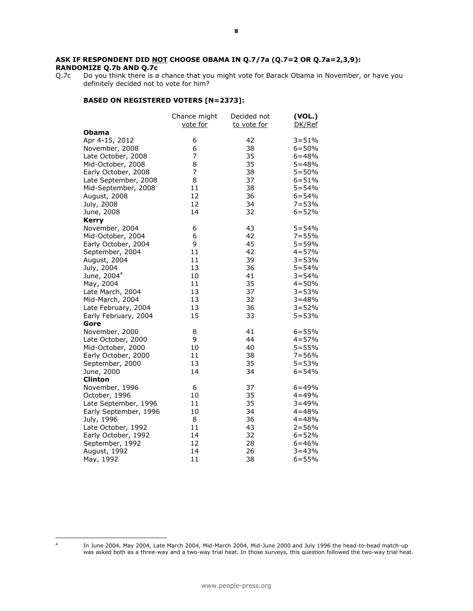## **ASK IF RESPONDENT DID NOT CHOOSE OBAMA IN Q.7/7a (Q.7=2 OR Q.7a=2,3,9): RANDOMIZE Q.7b AND Q.7c** Q.7c Do you think there is a

Do you think there is a chance that you might vote for Barack Obama in November, or have you definitely decided not to vote for him?

#### **BASED ON REGISTERED VOTERS [N=2373]:**

|                         | Chance might<br>vote for | Decided not<br>to vote for | (VOL.)<br>DK/Ref |
|-------------------------|--------------------------|----------------------------|------------------|
| Obama                   |                          |                            |                  |
| Apr 4-15, 2012          | 6                        | 42                         | $3 = 51%$        |
| November, 2008          | 6                        | 38                         | $6 = 50%$        |
| Late October, 2008      | 7                        | 35                         | $6 = 48%$        |
| Mid-October, 2008       | 8                        | 35                         | $5 = 48%$        |
| Early October, 2008     | 7                        | 38                         | $5 = 50%$        |
| Late September, 2008    | 8                        | 37                         | $6 = 51%$        |
| Mid-September, 2008     | 11                       | 38                         | $5 = 54%$        |
| August, 2008            | 12                       | 36                         | $6 = 54%$        |
| July, 2008              | 12                       | 34                         | $7 = 53%$        |
| June, 2008              | 14                       | 32                         | $6 = 52%$        |
| <b>Kerry</b>            |                          |                            |                  |
| November, 2004          | 6                        | 43                         | $5 = 54%$        |
| Mid-October, 2004       | 6                        | 42                         | $7 = 55%$        |
| Early October, 2004     | 9                        | 45                         | $5 = 59%$        |
| September, 2004         | 11                       | 42                         | $4 = 57%$        |
| August, 2004            | 11                       | 39                         | $3 = 53%$        |
| July, 2004              | 13                       | 36                         | $5 = 54%$        |
| June, 2004 <sup>4</sup> | 10                       | 41                         | $3 = 54%$        |
| May, 2004               | 11                       | 35                         | $4 = 50%$        |
| Late March, 2004        | 13                       | 37                         | $3 = 53%$        |
| Mid-March, 2004         | 13                       | 32                         | $3 = 48%$        |
| Late February, 2004     | 13                       | 36                         | $3 = 52%$        |
| Early February, 2004    | 15                       | 33                         | $5 = 53%$        |
| Gore                    |                          |                            |                  |
| November, 2000          | 8                        | 41                         | $6 = 55%$        |
| Late October, 2000      | 9                        | 44                         | $4 = 57%$        |
| Mid-October, 2000       | 10                       | 40                         | $5 = 55%$        |
| Early October, 2000     | 11                       | 38                         | $7 = 56%$        |
| September, 2000         | 13                       | 35                         | $5 = 53%$        |
| June, 2000              | 14                       | 34                         | $6 = 54%$        |
| <b>Clinton</b>          |                          |                            |                  |
| November, 1996          | 6                        | 37                         | $6 = 49%$        |
| October, 1996           | 10                       | 35                         | $4 = 49%$        |
| Late September, 1996    | 11                       | 35                         | $3 = 49%$        |
| Early September, 1996   | 10                       | 34                         | $4 = 48%$        |
| July, 1996              | 8                        | 36                         | $4 = 48%$        |
| Late October, 1992      | 11                       | 43                         | $2 = 56%$        |
| Early October, 1992     | 14                       | 32                         | $6 = 52%$        |
| September, 1992         | 12                       | 28                         | $6 = 46%$        |
| August, 1992            | 14                       | 26                         | $3 = 43%$        |
| May, 1992               | 11                       | 38                         | $6 = 55%$        |

 $\overline{a}$ 4

In June 2004, May 2004, Late March 2004, Mid-March 2004, Mid-June 2000 and July 1996 the head-to-head match-up was asked both as a three-way and a two-way trial heat. In those surveys, this question followed the two-way trial heat.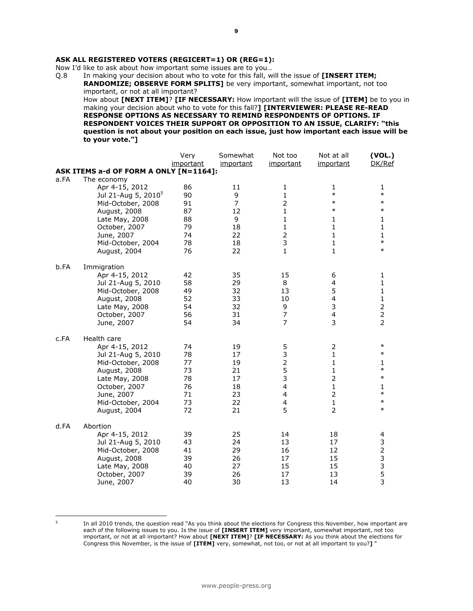#### **ASK ALL REGISTERED VOTERS (REGICERT=1) OR (REG=1):**

Now I'd like to ask about how important some issues are to you...<br>Q.8 In making your decision about who to vote for this fall, w

In making your decision about who to vote for this fall, will the issue of **[INSERT ITEM; RANDOMIZE; OBSERVE FORM SPLITS]** be very important, somewhat important, not too important, or not at all important? How about **[NEXT ITEM]**? **[IF NECESSARY:** How important will the issue of **[ITEM]** be to you in

making your decision about who to vote for this fall?**] [INTERVIEWER: PLEASE RE-READ RESPONSE OPTIONS AS NECESSARY TO REMIND RESPONDENTS OF OPTIONS. IF RESPONDENT VOICES THEIR SUPPORT OR OPPOSITION TO AN ISSUE, CLARIFY: "this question is not about your position on each issue, just how important each issue will be to your vote."]** 

|                  |                                        | Very      | Somewhat  | Not too        | Not at all              | (VOL.)                                     |
|------------------|----------------------------------------|-----------|-----------|----------------|-------------------------|--------------------------------------------|
|                  |                                        | important | important | important      | important               | DK/Ref                                     |
|                  | ASK ITEMS a-d OF FORM A ONLY [N=1164]: |           |           |                |                         |                                            |
| a.FA             | The economy                            |           |           |                |                         |                                            |
|                  | Apr 4-15, 2012                         | 86        | 11        | $\mathbf{1}$   | 1                       | 1                                          |
|                  | Jul 21-Aug 5, 2010 <sup>5</sup>        | 90        | 9         | 1              | $\ast$                  | $\ast$                                     |
|                  | Mid-October, 2008                      | 91        | 7         | $\overline{2}$ | $\ast$                  | $\ast$                                     |
|                  | August, 2008                           | 87        | 12        | $\mathbf{1}$   | $\ast$                  | $\ast$                                     |
|                  | Late May, 2008                         | 88        | 9         | $\mathbf{1}$   | 1                       | 1                                          |
|                  | October, 2007                          | 79        | 18        | $\mathbf{1}$   | $\mathbf{1}$            | $\mathbf{1}$                               |
|                  | June, 2007                             | 74        | 22        | $\overline{2}$ | $\mathbf{1}$            | $\mathbf{1}$                               |
|                  | Mid-October, 2004                      | 78        | 18        | 3              | $\mathbf{1}$            | $\ast$                                     |
|                  | August, 2004                           | 76        | 22        | $\mathbf{1}$   | $\mathbf{1}$            | $\ast$                                     |
| b.FA             | Immigration                            |           |           |                |                         |                                            |
|                  | Apr 4-15, 2012                         | 42        | 35        | 15             | 6                       | 1                                          |
|                  | Jul 21-Aug 5, 2010                     | 58        | 29        | 8              | $\overline{4}$          | 1                                          |
|                  | Mid-October, 2008                      | 49        | 32        | 13             | 5                       | $\mathbf{1}$                               |
|                  | August, 2008                           | 52        | 33        | 10             | $\overline{\mathbf{4}}$ | $\mathbf 1$                                |
|                  | Late May, 2008                         | 54        | 32        | 9              | 3                       | $\overline{\mathbf{c}}$                    |
|                  | October, 2007                          | 56        | 31        | 7              | 4                       | $\frac{2}{2}$                              |
|                  | June, 2007                             | 54        | 34        | $\overline{7}$ | $\overline{3}$          |                                            |
| c.FA             | Health care                            |           |           |                |                         |                                            |
|                  | Apr 4-15, 2012                         | 74        | 19        | 5              | 2                       | $\ast$                                     |
|                  | Jul 21-Aug 5, 2010                     | 78        | 17        | 3              | $\mathbf{1}$            | $\ast$                                     |
|                  | Mid-October, 2008                      | 77        | 19        | $\overline{2}$ | 1                       | 1                                          |
|                  | August, 2008                           | 73        | 21        | 5              | $\mathbf{1}$            | $\ast$                                     |
|                  | Late May, 2008                         | 78        | 17        | 3              | $\overline{2}$          | $\ast$                                     |
|                  | October, 2007                          | 76        | 18        | 4              | $\mathbf{1}$            | 1                                          |
|                  | June, 2007                             | 71        | 23        | 4              | $\overline{2}$          | $\ast$                                     |
|                  | Mid-October, 2004                      | 73        | 22        | 4              | $\mathbf{1}$            | $\ast$                                     |
|                  | August, 2004                           | 72        | 21        | 5              | $\overline{2}$          | $\ast$                                     |
| d.FA<br>Abortion |                                        |           |           |                |                         |                                            |
|                  | Apr 4-15, 2012                         | 39        | 25        | 14             | 18                      | 4                                          |
|                  | Jul 21-Aug 5, 2010                     | 43        | 24        | 13             | 17                      | 3                                          |
|                  | Mid-October, 2008                      | 41        | 29        | 16             | 12                      | $\overline{\mathbf{c}}$                    |
|                  | August, 2008                           | 39        | 26        | 17             | 15                      |                                            |
|                  | Late May, 2008                         | 40        | 27        | 15             | 15                      |                                            |
|                  | October, 2007                          | 39        | 26        | 17             | 13                      | $\begin{array}{c} 3 \\ 3 \\ 5 \end{array}$ |
|                  | June, 2007                             | 40        | 30        | 13             | 14                      | 3                                          |

-<br>5

In all 2010 trends, the question read "As you think about the elections for Congress this November, how important are each of the following issues to you. Is the issue of **[INSERT ITEM]** very important, somewhat important, not too important, or not at all important? How about **[NEXT ITEM]**? **[IF NECESSARY:** As you think about the elections for Congress this November, is the issue of **[ITEM]** very, somewhat, not too, or not at all important to you?**]** "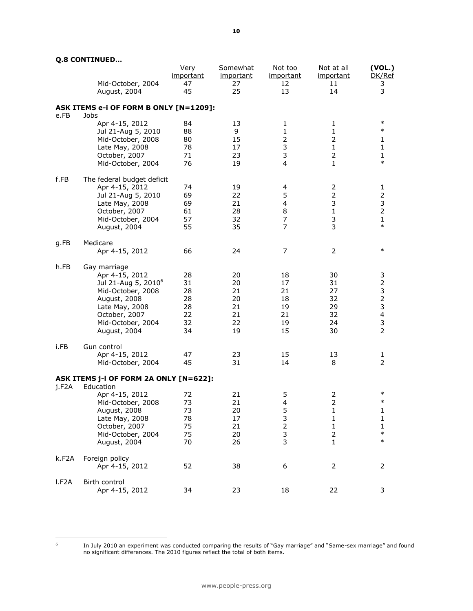|                    | Mid-October, 2004<br>August, 2004              | Very<br><i>important</i><br>47<br>45 | Somewhat<br>important<br>27<br>25 | Not too<br><i>important</i><br>12<br>13 | Not at all<br>important<br>11<br>14 | (VOL.)<br>DK/Ref<br>3<br>3 |
|--------------------|------------------------------------------------|--------------------------------------|-----------------------------------|-----------------------------------------|-------------------------------------|----------------------------|
|                    | ASK ITEMS e-i OF FORM B ONLY [N=1209]:<br>Jobs |                                      |                                   |                                         |                                     |                            |
| e.FB               | Apr 4-15, 2012                                 | 84                                   | 13                                | 1                                       | 1                                   | $\ast$                     |
|                    | Jul 21-Aug 5, 2010                             | 88                                   | 9                                 | 1                                       | $\mathbf{1}$                        | $\ast$                     |
|                    | Mid-October, 2008                              | 80                                   | 15                                | $\overline{2}$                          | $\overline{2}$                      | 1                          |
|                    | Late May, 2008                                 | 78                                   | 17                                | 3                                       | $\mathbf{1}$                        | 1                          |
|                    | October, 2007<br>Mid-October, 2004             | 71<br>76                             | 23<br>19                          | 3<br>4                                  | 2<br>$\mathbf{1}$                   | $\mathbf{1}$<br>$\ast$     |
| f.FB               | The federal budget deficit                     |                                      |                                   |                                         |                                     |                            |
|                    | Apr 4-15, 2012                                 | 74                                   | 19                                | 4                                       | 2                                   | 1                          |
|                    | Jul 21-Aug 5, 2010                             | 69                                   | 22                                | 5                                       | $\overline{2}$                      | $\mathbf 2$                |
|                    | Late May, 2008                                 | 69                                   | 21                                | 4                                       | 3                                   | 3                          |
|                    | October, 2007                                  | 61                                   | 28                                | 8                                       | $\mathbf 1$                         | $\mathbf 2$                |
|                    | Mid-October, 2004                              | 57                                   | 32                                | $\overline{7}$                          | 3                                   | $\mathbf 1$                |
|                    | August, 2004                                   | 55                                   | 35                                | 7                                       | 3                                   | $\ast$                     |
| g.FB               | Medicare                                       |                                      |                                   |                                         |                                     |                            |
|                    | Apr 4-15, 2012                                 | 66                                   | 24                                | 7                                       | $\overline{2}$                      | $\ast$                     |
| h.FB               | Gay marriage                                   |                                      |                                   |                                         |                                     |                            |
|                    | Apr 4-15, 2012                                 | 28                                   | 20                                | 18                                      | 30                                  | 3                          |
|                    | Jul 21-Aug 5, 2010 <sup>6</sup>                | 31<br>28                             | 20<br>21                          | 17<br>21                                | 31<br>27                            | $\mathbf 2$<br>3           |
|                    | Mid-October, 2008<br>August, 2008              | 28                                   | 20                                | 18                                      | 32                                  | $\overline{c}$             |
|                    | Late May, 2008                                 | 28                                   | 21                                | 19                                      | 29                                  | 3                          |
|                    | October, 2007                                  | 22                                   | 21                                | 21                                      | 32                                  | 4                          |
|                    | Mid-October, 2004                              | 32                                   | 22                                | 19                                      | 24                                  | 3                          |
|                    | August, 2004                                   | 34                                   | 19                                | 15                                      | 30                                  | $\overline{2}$             |
| i.FB               | Gun control                                    |                                      |                                   |                                         |                                     |                            |
|                    | Apr 4-15, 2012<br>Mid-October, 2004            | 47<br>45                             | 23<br>31                          | 15<br>14                                | 13<br>8                             | 1<br>$\overline{2}$        |
|                    | ASK ITEMS j-I OF FORM 2A ONLY [N=622]:         |                                      |                                   |                                         |                                     |                            |
| j.F2A              | Education                                      |                                      |                                   |                                         |                                     |                            |
|                    | Apr 4-15, 2012                                 | 72                                   | 21                                | 5                                       | $\overline{2}$                      | $\ast$                     |
|                    | Mid-October, 2008                              | 73                                   | 21                                | $\overline{4}$                          | $\overline{2}$                      | $\ast$                     |
|                    | August, 2008                                   | 73                                   | 20                                | 5                                       | 1                                   | 1                          |
|                    | Late May, 2008                                 | 78                                   | 17                                | 3                                       | $\mathbf{1}$                        | $\mathbf 1$                |
|                    | October, 2007                                  | 75                                   | 21                                | $\overline{2}$                          | $\mathbf 1$                         | 1                          |
|                    | Mid-October, 2004<br>August, 2004              | 75<br>70                             | 20<br>26                          | 3<br>3                                  | $\mathbf 2$<br>1                    | $\ast$<br>$\ast$           |
| k.F2A              | Foreign policy                                 |                                      |                                   |                                         |                                     |                            |
|                    | Apr 4-15, 2012                                 | 52                                   | 38                                | 6                                       | 2                                   | 2                          |
| I.F <sub>2</sub> A | Birth control                                  |                                      |                                   |                                         |                                     |                            |
|                    | Apr 4-15, 2012                                 | 34                                   | 23                                | 18                                      | 22                                  | 3                          |

**Q.8 CONTINUED…**

<sup>-&</sup>lt;br>6

In July 2010 an experiment was conducted comparing the results of "Gay marriage" and "Same-sex marriage" and found no significant differences. The 2010 figures reflect the total of both items.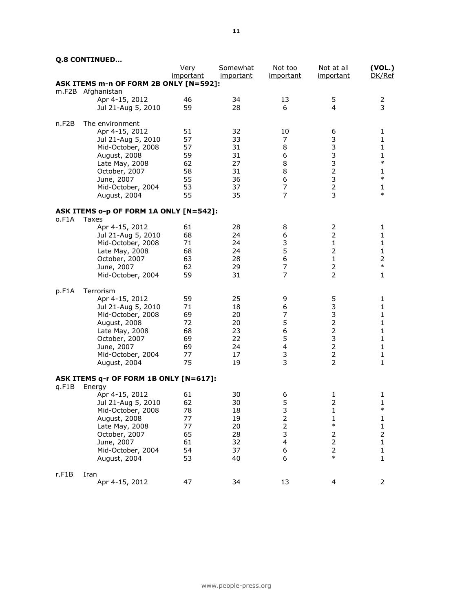### **Q.8 CONTINUED…**

|       |                                        | Very             | Somewhat  | Not too          | Not at all     | (VOL.)       |
|-------|----------------------------------------|------------------|-----------|------------------|----------------|--------------|
|       |                                        | <i>important</i> | important | important        | important      | DK/Ref       |
|       | ASK ITEMS m-n OF FORM 2B ONLY [N=592]: |                  |           |                  |                |              |
|       | m.F2B Afghanistan                      | 46               | 34        |                  |                |              |
|       | Apr 4-15, 2012                         | 59               | 28        | 13<br>6          | 5<br>4         | 2<br>3       |
|       | Jul 21-Aug 5, 2010                     |                  |           |                  |                |              |
| n.F2B | The environment                        |                  |           |                  |                |              |
|       | Apr 4-15, 2012                         | 51               | 32        | 10               | 6              | 1            |
|       | Jul 21-Aug 5, 2010                     | 57               | 33        | 7                | 3              | $\mathbf{1}$ |
|       | Mid-October, 2008                      | 57               | 31        | 8                | $\mathsf 3$    | $\mathbf{1}$ |
|       | August, 2008                           | 59               | 31        | 6                | 3              | $\mathbf{1}$ |
|       | Late May, 2008                         | 62               | 27        | 8                | 3              | $\ast$       |
|       | October, 2007                          | 58               | 31        | 8                | $\overline{2}$ | $\mathbf{1}$ |
|       | June, 2007                             | 55               | 36        | 6                | 3              | $\ast$       |
|       | Mid-October, 2004                      | 53               | 37        | 7                | $\overline{2}$ | $\mathbf{1}$ |
|       | August, 2004                           | 55               | 35        | 7                | $\overline{3}$ | $\ast$       |
|       | ASK ITEMS o-p OF FORM 1A ONLY [N=542]: |                  |           |                  |                |              |
| o.F1A | Taxes                                  |                  |           |                  |                |              |
|       | Apr 4-15, 2012                         | 61               | 28        | 8                | 2              | 1            |
|       | Jul 21-Aug 5, 2010                     | 68               | 24        | 6                | $\overline{2}$ | 1            |
|       | Mid-October, 2008                      | 71               | 24        | 3                | $\mathbf{1}$   | $\mathbf{1}$ |
|       | Late May, 2008                         | 68               | 24        | 5                | 2              | 1            |
|       | October, 2007                          | 63               | 28        | 6                | $\mathbf{1}$   | $\mathbf 2$  |
|       | June, 2007                             | 62               | 29        | $\boldsymbol{7}$ | $\overline{2}$ | $\ast$       |
|       | Mid-October, 2004                      | 59               | 31        | 7                | $\overline{2}$ | $\mathbf{1}$ |
| p.F1A | Terrorism                              |                  |           |                  |                |              |
|       | Apr 4-15, 2012                         | 59               | 25        | 9                | 5              | 1            |
|       | Jul 21-Aug 5, 2010                     | 71               | 18        | 6                | 3              | 1            |
|       | Mid-October, 2008                      | 69               | 20        | 7                | 3              | $\mathbf{1}$ |
|       | August, 2008                           | 72               | 20        | 5                | $\mathbf 2$    | $\mathbf{1}$ |
|       | Late May, 2008                         | 68               | 23        | 6                | $\mathbf 2$    | $\mathbf{1}$ |
|       | October, 2007                          | 69               | 22        | 5                | 3              | $\mathbf{1}$ |
|       | June, 2007                             | 69               | 24        | 4                | $\overline{2}$ | $\mathbf{1}$ |
|       | Mid-October, 2004                      | 77               | 17        | 3                | $\overline{2}$ | $\mathbf{1}$ |
|       | August, 2004                           | 75               | 19        | 3                | $\overline{2}$ | $\mathbf{1}$ |
|       | ASK ITEMS q-r OF FORM 1B ONLY [N=617]: |                  |           |                  |                |              |
| q.F1B | Energy                                 |                  |           |                  |                |              |
|       | Apr 4-15, 2012                         | 61               | 30        | 6                | 1              | 1            |
|       | Jul 21-Aug 5, 2010                     | 62               | 30        | 5                | $\overline{2}$ | 1            |
|       | Mid-October, 2008                      | 78               | 18        | 3                | $\mathbf 1$    | $\ast$       |
|       | August, 2008                           | 77               | 19        | $\mathbf 2$      | 1              | $\mathbf{1}$ |
|       | Late May, 2008                         | 77               | 20        | 2                | $\ast$         | 1            |
|       | October, 2007                          | 65               | 28        | 3                | 2              | $\mathbf 2$  |
|       | June, 2007                             | 61               | 32        | 4                | $\overline{2}$ | $\mathbf{1}$ |
|       | Mid-October, 2004                      | 54               | 37        | 6                | 2              | 1            |
|       | August, 2004                           | 53               | 40        | 6                | $\ast$         | $\mathbf{1}$ |
| r.F1B |                                        |                  |           |                  |                |              |
|       | Iran<br>Apr 4-15, 2012                 | 47               | 34        | 13               | 4              | 2            |
|       |                                        |                  |           |                  |                |              |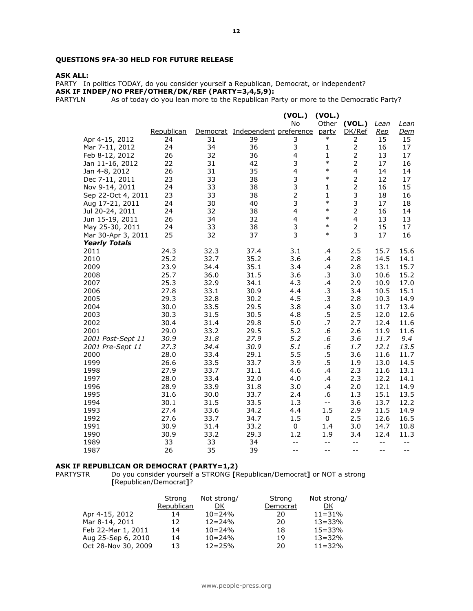#### **QUESTIONS 9FA-30 HELD FOR FUTURE RELEASE**

#### **ASK ALL:**

PARTY In politics TODAY, do you consider yourself a Republican, Democrat, or independent? **ASK IF INDEP/NO PREF/OTHER/DK/REF (PARTY=3,4,5,9):**

PARTYLN As of today do you lean more to the Republican Party or more to the Democratic Party?

|                      |            |          |                        | (VOL.)                  | (VOL.)                                        |                |            |            |
|----------------------|------------|----------|------------------------|-------------------------|-----------------------------------------------|----------------|------------|------------|
|                      |            |          |                        | No                      | Other                                         | (VOL.)         | Lean       | Lean       |
|                      | Republican | Democrat | Independent preference |                         | party                                         | DK/Ref         | <u>Rep</u> | <u>Dem</u> |
| Apr 4-15, 2012       | 24         | 31       | 39                     | 3                       | $\ast$                                        | 2              | 15         | 15         |
| Mar 7-11, 2012       | 24         | 34       | 36                     | 3                       | 1                                             | $\mathbf{2}$   | 16         | 17         |
| Feb 8-12, 2012       | 26         | 32       | 36                     | $\overline{\mathbf{4}}$ | $\mathbf{1}$                                  | $\overline{2}$ | 13         | 17         |
| Jan 11-16, 2012      | 22         | 31       | 42                     | 3                       | $\ast$                                        | $\overline{2}$ | 17         | 16         |
| Jan 4-8, 2012        | 26         | 31       | 35                     | $\overline{\mathbf{4}}$ | $\ast$                                        | 4              | 14         | 14         |
| Dec 7-11, 2011       | 23         | 33       | 38                     | 3                       | $\ast$                                        | $\overline{2}$ | 12         | 17         |
| Nov 9-14, 2011       | 24         | 33       | 38                     | 3                       | 1                                             | 2              | 16         | 15         |
| Sep 22-Oct 4, 2011   | 23         | 33       | 38                     | $\overline{2}$          | $\mathbf{1}$                                  | 3              | 18         | 16         |
| Aug 17-21, 2011      | 24         | 30       | 40                     | 3                       | $\ast$                                        | 3              | 17         | 18         |
| Jul 20-24, 2011      | 24         | 32       | 38                     | $\overline{\mathbf{4}}$ | $\ast$                                        | $\overline{2}$ | 16         | 14         |
| Jun 15-19, 2011      | 26         | 34       | 32                     | 4                       | $\ast$                                        | $\overline{4}$ | 13         | 13         |
| May 25-30, 2011      | 24         | 33       | 38                     | 3                       | $\ast$                                        | $\overline{2}$ | 15         | 17         |
| Mar 30-Apr 3, 2011   | 25         | 32       | 37                     | 3                       | $\ast$                                        | 3              | 17         | 16         |
| <b>Yearly Totals</b> |            |          |                        |                         |                                               |                |            |            |
| 2011                 | 24.3       | 32.3     | 37.4                   | 3.1                     | .4                                            | 2.5            | 15.7       | 15.6       |
| 2010                 | 25.2       | 32.7     | 35.2                   | 3.6                     | .4                                            | 2.8            | 14.5       | 14.1       |
| 2009                 | 23.9       | 34.4     | 35.1                   | 3.4                     | .4                                            | 2.8            | 13.1       | 15.7       |
| 2008                 | 25.7       | 36.0     | 31.5                   | 3.6                     | .3                                            | 3.0            | 10.6       | 15.2       |
| 2007                 | 25.3       | 32.9     | 34.1                   | 4.3                     | $\cdot$                                       | 2.9            | 10.9       | 17.0       |
| 2006                 | 27.8       | 33.1     | 30.9                   | 4.4                     | .3                                            | 3.4            | 10.5       | 15.1       |
| 2005                 | 29.3       | 32.8     | 30.2                   | 4.5                     | .3                                            | 2.8            | 10.3       | 14.9       |
| 2004                 | 30.0       | 33.5     | 29.5                   | 3.8                     | $\cdot$                                       | 3.0            | 11.7       | 13.4       |
| 2003                 | 30.3       | 31.5     | 30.5                   | 4.8                     | .5                                            | 2.5            | 12.0       | 12.6       |
| 2002                 | 30.4       | 31.4     | 29.8                   | 5.0                     | .7                                            | 2.7            | 12.4       | 11.6       |
| 2001                 | 29.0       | 33.2     | 29.5                   | 5.2                     | .6                                            | 2.6            | 11.9       | 11.6       |
| 2001 Post-Sept 11    | 30.9       | 31.8     | 27.9                   | 5.2                     | .6                                            | 3.6            | 11.7       | 9.4        |
| 2001 Pre-Sept 11     | 27.3       | 34.4     | 30.9                   | 5.1                     | .6                                            | 1.7            | 12.1       | 13.5       |
| 2000                 | 28.0       | 33.4     | 29.1                   | 5.5                     | .5                                            | 3.6            | 11.6       | 11.7       |
| 1999                 | 26.6       | 33.5     | 33.7                   | 3.9                     | .5                                            | 1.9            | 13.0       | 14.5       |
| 1998                 | 27.9       | 33.7     | 31.1                   | 4.6                     | .4                                            | 2.3            | 11.6       | 13.1       |
| 1997                 | 28.0       | 33.4     | 32.0                   | 4.0                     | .4                                            | 2.3            | 12.2       | 14.1       |
| 1996                 | 28.9       | 33.9     | 31.8                   | 3.0                     | .4                                            | 2.0            | 12.1       | 14.9       |
| 1995                 | 31.6       | 30.0     | 33.7                   | 2.4                     | .6                                            | 1.3            | 15.1       | 13.5       |
| 1994                 | 30.1       | 31.5     | 33.5                   | 1.3                     | $\mathord{\hspace{1pt}\text{--}\hspace{1pt}}$ | 3.6            | 13.7       | 12.2       |
| 1993                 | 27.4       | 33.6     | 34.2                   | 4.4                     | 1.5                                           | 2.9            | 11.5       | 14.9       |
| 1992                 | 27.6       | 33.7     | 34.7                   | 1.5                     | 0                                             | 2.5            | 12.6       | 16.5       |
| 1991                 | 30.9       | 31.4     | 33.2                   | 0                       | 1.4                                           | 3.0            | 14.7       | 10.8       |
| 1990                 | 30.9       | 33.2     | 29.3                   | 1.2                     | 1.9                                           | 3.4            | 12.4       | 11.3       |
| 1989                 | 33         | 33       | 34                     | $-$                     | $- -$                                         | $- -$          | $-$        | $-$        |
| 1987                 | 26         | 35       | 39                     | $- -$                   | $-$                                           | $-$            | --         | $- -$      |

#### **ASK IF REPUBLICAN OR DEMOCRAT (PARTY=1,2)**

PARTYSTR Do you consider yourself a STRONG **[**Republican/Democrat**]** or NOT a strong **[**Republican/Democrat**]**?

|                     | Strong     | Not strong/ | Strong   | Not strong/ |
|---------------------|------------|-------------|----------|-------------|
|                     | Republican | DK          | Democrat | DK.         |
| Apr 4-15, 2012      | 14         | $10 = 24\%$ | 20       | $11 = 31%$  |
| Mar 8-14, 2011      | 12         | $12 = 24\%$ | 20       | $13 = 33%$  |
| Feb 22-Mar 1, 2011  | 14         | $10 = 24\%$ | 18       | $15 = 33%$  |
| Aug 25-Sep 6, 2010  | 14         | $10 = 24\%$ | 19       | $13 = 32%$  |
| Oct 28-Nov 30, 2009 | 13         | $12 = 25%$  | 20       | $11 = 32%$  |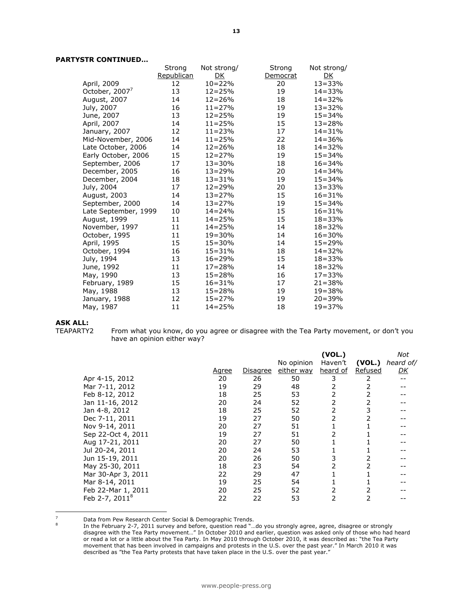#### **PARTYSTR CONTINUED…**

|                            | Strong     | Not strong/ | Strong   | Not strong/ |
|----------------------------|------------|-------------|----------|-------------|
|                            | Republican | DK          | Democrat | <u>DK</u>   |
| April, 2009                | 12         | $10 = 22%$  | 20       | $13 = 33%$  |
| October, 2007 <sup>7</sup> | 13         | $12 = 25%$  | 19       | $14 = 33%$  |
| August, 2007               | 14         | $12 = 26%$  | 18       | $14 = 32%$  |
| July, 2007                 | 16         | $11 = 27%$  | 19       | $13 = 32%$  |
| June, 2007                 | 13         | $12 = 25%$  | 19       | $15 = 34%$  |
| April, 2007                | 14         | $11 = 25%$  | 15       | $13 = 28%$  |
| January, 2007              | 12         | $11 = 23%$  | 17       | $14 = 31%$  |
| Mid-November, 2006         | 14         | $11 = 25%$  | 22       | $14 = 36%$  |
| Late October, 2006         | 14         | $12 = 26%$  | 18       | $14 = 32%$  |
| Early October, 2006        | 15         | $12 = 27%$  | 19       | $15 = 34%$  |
| September, 2006            | 17         | $13 = 30%$  | 18       | $16 = 34%$  |
| December, 2005             | 16         | $13 = 29%$  | 20       | $14 = 34%$  |
| December, 2004             | 18         | $13 = 31%$  | 19       | $15 = 34%$  |
| July, 2004                 | 17         | $12 = 29%$  | 20       | $13 = 33%$  |
| August, 2003               | 14         | $13 = 27%$  | 15       | $16 = 31%$  |
| September, 2000            | 14         | $13 = 27%$  | 19       | $15 = 34%$  |
| Late September, 1999       | 10         | $14 = 24%$  | 15       | $16 = 31%$  |
| August, 1999               | 11         | $14 = 25%$  | 15       | $18 = 33%$  |
| November, 1997             | 11         | $14 = 25%$  | 14       | $18 = 32%$  |
| October, 1995              | 11         | $19 = 30%$  | 14       | $16 = 30%$  |
| April, 1995                | 15         | $15 = 30%$  | 14       | $15 = 29%$  |
| October, 1994              | 16         | $15 = 31%$  | 18       | $14 = 32%$  |
| July, 1994                 | 13         | $16 = 29%$  | 15       | 18=33%      |
| June, 1992                 | 11         | $17 = 28%$  | 14       | $18 = 32%$  |
| May, 1990                  | 13         | $15 = 28%$  | 16       | $17 = 33%$  |
| February, 1989             | 15         | 16=31%      | 17       | $21 = 38%$  |
| May, 1988                  | 13         | $15 = 28%$  | 19       | $19 = 38%$  |
| January, 1988              | 12         | 15=27%      | 19       | $20 = 39%$  |
| May, 1987                  | 11         | $14 = 25%$  | 18       | 19=37%      |

# **ASK ALL:**

8

From what you know, do you agree or disagree with the Tea Party movement, or don't you have an opinion either way?

|                                              |       |          |            | (VOL.)   |         | Not       |
|----------------------------------------------|-------|----------|------------|----------|---------|-----------|
|                                              |       |          | No opinion | Haven't  | (VOL.)  | heard of/ |
|                                              | Agree | Disagree | either way | heard of | Refused | <u>DК</u> |
| Apr 4-15, 2012                               | 20    | 26       | 50         | 3        | 2       |           |
| Mar 7-11, 2012                               | 19    | 29       | 48         | 2        | 2       |           |
| Feb 8-12, 2012                               | 18    | 25       | 53         | 2        | 2       |           |
| Jan 11-16, 2012                              | 20    | 24       | 52         | 2        | 2       |           |
| Jan 4-8, 2012                                | 18    | 25       | 52         | 2        | 3       |           |
| Dec 7-11, 2011                               | 19    | 27       | 50         | 2        | 2       |           |
| Nov 9-14, 2011                               | 20    | 27       | 51         |          |         |           |
| Sep 22-Oct 4, 2011                           | 19    | 27       | 51         | 2        |         |           |
| Aug 17-21, 2011                              | 20    | 27       | 50         |          |         |           |
| Jul 20-24, 2011                              | 20    | 24       | 53         |          |         |           |
| Jun 15-19, 2011                              | 20    | 26       | 50         | 3        | 2       |           |
| May 25-30, 2011                              | 18    | 23       | 54         | 2        | 2       |           |
| Mar 30-Apr 3, 2011                           | 22    | 29       | 47         |          |         |           |
|                                              | 19    | 25       | 54         |          |         |           |
| Feb 22-Mar 1, 2011                           | 20    | 25       | 52         | 2        | 2       |           |
|                                              | 22    | 22       | 53         |          | 2       |           |
| Mar 8-14, 2011<br>Feb 2-7, 2011 <sup>8</sup> |       |          |            |          |         |           |

 $\overline{z}$ Data from Pew Research Center Social & Demographic Trends.

In the February 2-7, 2011 survey and before, question read "…do you strongly agree, agree, disagree or strongly disagree with the Tea Party movement…" In October 2010 and earlier, question was asked only of those who had heard or read a lot or a little about the Tea Party. In May 2010 through October 2010, it was described as: "the Tea Party movement that has been involved in campaigns and protests in the U.S. over the past year." In March 2010 it was described as "the Tea Party protests that have taken place in the U.S. over the past year."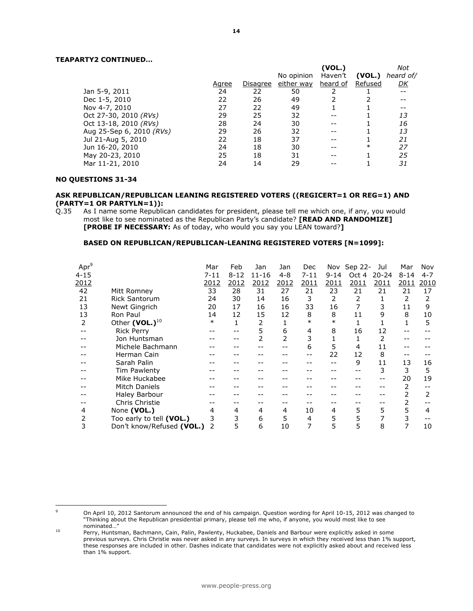#### **TEAPARTY2 CONTINUED…**

|       |          |            | (VOL.)   |            | Not       |
|-------|----------|------------|----------|------------|-----------|
|       |          |            | Haven't  | (VOL.)     | heard of/ |
| Agree | Disagree | either way | heard of | Refused    | <u>DК</u> |
| 24    | 22       | 50         |          |            | --        |
| 22    | 26       | 49         |          |            |           |
| 27    | 22       | 49         |          |            |           |
| 29    | 25       | 32         |          |            | 13        |
| 28    | 24       | 30         |          |            | 16        |
| 29    | 26       | 32         |          |            | 13        |
| 22    | 18       | 37         |          |            | 21        |
| 24    | 18       | 30         |          | $\ast$     | 27        |
| 25    | 18       | 31         |          |            | 25        |
| 24    | 14       | 29         |          |            | 31        |
|       |          |            |          | No opinion |           |

#### **NO QUESTIONS 31-34**

 $\overline{a}$ 

#### **ASK REPUBLICAN/REPUBLICAN LEANING REGISTERED VOTERS ((REGICERT=1 OR REG=1) AND (PARTY=1 OR PARTYLN=1)):**

Q.35 As I name some Republican candidates for president, please tell me which one, if any, you would most like to see nominated as the Republican Party's candidate? **[READ AND RANDOMIZE] [PROBE IF NECESSARY:** As of today, who would you say you LEAN toward?**]** 

#### **BASED ON REPUBLICAN/REPUBLICAN-LEANING REGISTERED VOTERS [N=1099]:**

| Apr <sup>9</sup> |                            | Mar      | Feb      | Jan       | Jan            | Dec      |          | Nov Sep 22- | Jul       | Mar      | Nov     |
|------------------|----------------------------|----------|----------|-----------|----------------|----------|----------|-------------|-----------|----------|---------|
| $4 - 15$         |                            | $7 - 11$ | $8 - 12$ | $11 - 16$ | $4 - 8$        | $7 - 11$ | $9 - 14$ | Oct 4       | $20 - 24$ | $8 - 14$ | $4 - 7$ |
| 2012             |                            | 2012     | 2012     | 2012      | 2012           | 2011     | 2011     | 2011        | 2011      | 2011     | 2010    |
| 42               | Mitt Romney                | 33       | 28       | 31        | 27             | 21       | 23       | 21          | 21        | 21       | 17      |
| 21               | <b>Rick Santorum</b>       | 24       | 30       | 14        | 16             | 3        | 2        | 2           |           | 2        |         |
| 13               | Newt Gingrich              | 20       | 17       | 16        | 16             | 33       | 16       |             |           | 11       | 9       |
| 13               | Ron Paul                   | 14       | 12       | 15        | 12             | 8        | 8        | 11          | 9         | 8        | 10      |
| 2                | Other (VOL.) <sup>10</sup> | $\ast$   | 1        | 2         |                | $\ast$   | $\ast$   |             |           |          | 5       |
|                  | <b>Rick Perry</b>          |          |          | 5         | 6              | 4        | 8        | 16          | 12        |          |         |
|                  | Jon Huntsman               |          |          | 2         | $\overline{2}$ | 3        |          |             |           |          |         |
|                  | Michele Bachmann           |          |          |           |                | 6        | 5        | 4           | 11        |          |         |
|                  | Herman Cain                |          |          |           |                |          | 22       | 12          | 8         |          |         |
|                  | Sarah Palin                |          |          |           |                |          |          | 9           | 11        | 13       | 16      |
|                  | Tim Pawlenty               |          |          |           |                |          |          |             | 3         | 3        | 5       |
|                  | Mike Huckabee              |          |          |           |                |          |          |             |           | 20       | 19      |
|                  | <b>Mitch Daniels</b>       |          |          |           |                |          |          |             |           | 2        |         |
|                  | Haley Barbour              |          |          |           |                |          |          |             |           |          |         |
|                  | Chris Christie             |          |          |           |                |          |          |             |           |          |         |
| 4                | None (VOL.)                | 4        | 4        | 4         | 4              | 10       | 4        | 5           | 5         | 5        | 4       |
| 2                | Too early to tell (VOL.)   |          | 3        | 6         | 5              | 4        | 5        | 5           |           | 3        |         |
| 3                | Don't know/Refused (VOL.)  | 2        | 5        | 6         | 10             | 7        | 5        | 5           | 8         | 7        | 10      |
|                  |                            |          |          |           |                |          |          |             |           |          |         |

<sup>9</sup> On April 10, 2012 Santorum announced the end of his campaign. Question wording for April 10-15, 2012 was changed to "Thinking about the Republican presidential primary, please tell me who, if anyone, you would most like to see nominated…"

<sup>10</sup> Perry, Huntsman, Bachmann, Cain, Palin, Pawlenty, Huckabee, Daniels and Barbour were explicitly asked in some previous surveys. Chris Christie was never asked in any surveys. In surveys in which they received less than 1% support, these responses are included in other. Dashes indicate that candidates were not explicitly asked about and received less than 1% support.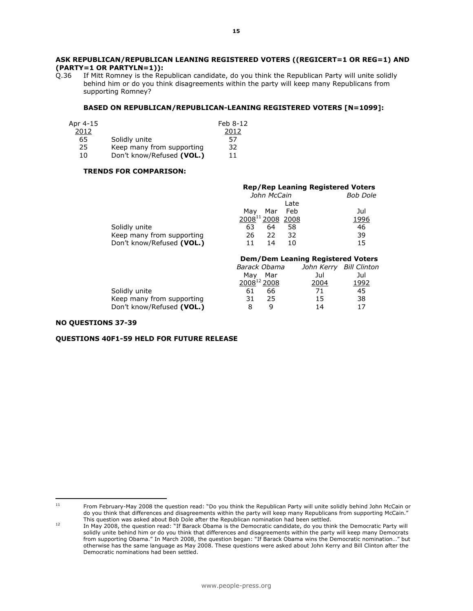### **ASK REPUBLICAN/REPUBLICAN LEANING REGISTERED VOTERS ((REGICERT=1 OR REG=1) AND (PARTY=1 OR PARTYLN=1)):**

If Mitt Romney is the Republican candidate, do you think the Republican Party will unite solidly behind him or do you think disagreements within the party will keep many Republicans from supporting Romney?

#### **BASED ON REPUBLICAN/REPUBLICAN-LEANING REGISTERED VOTERS [N=1099]:**

| Apr 4-15 |                           | Feb 8-12 |
|----------|---------------------------|----------|
| 2012     |                           | 2012     |
| 65       | Solidly unite             | 57       |
| 25       | Keep many from supporting | 32       |
| 10       | Don't know/Refused (VOL.) | 11       |

#### **TRENDS FOR COMPARISON:**

|                           | <b>Rep/Rep Leaning Registered Voters</b> |                 |
|---------------------------|------------------------------------------|-----------------|
|                           | John McCain                              | <b>Bob Dole</b> |
|                           | Late                                     |                 |
|                           | Mar Feb<br>Mav                           | Jul             |
|                           | 2008 <sup>11</sup> 2008 2008             | 1996            |
| Solidly unite             | 63<br>64<br>58                           | 46              |
| Keep many from supporting | 32<br>22<br>26                           | 39              |
| Don't know/Refused (VOL.) | 14<br>10                                 | 15              |

|                           | <b>Dem/Dem Leaning Registered Voters</b> |                         |      |
|---------------------------|------------------------------------------|-------------------------|------|
|                           | Barack Obama                             | John Kerry Bill Clinton |      |
|                           | Mar<br>Mav                               | Jul                     | Jul  |
|                           | 2008 <sup>12</sup> 2008                  | 2004                    | 1992 |
| Solidly unite             | 66<br>61                                 | 71                      | 45   |
| Keep many from supporting | 25<br>31                                 | 15                      | 38   |
| Don't know/Refused (VOL.) | a                                        | 14                      | 17   |

#### **NO QUESTIONS 37-39**

 $11$ 

#### **QUESTIONS 40F1-59 HELD FOR FUTURE RELEASE**

<sup>11</sup> From February-May 2008 the question read: "Do you think the Republican Party will unite solidly behind John McCain or do you think that differences and disagreements within the party will keep many Republicans from supporting McCain." This question was asked about Bob Dole after the Republican nomination had been settled.

<sup>12</sup> In May 2008, the question read: "If Barack Obama is the Democratic candidate, do you think the Democratic Party will solidly unite behind him or do you think that differences and disagreements within the party will keep many Democrats from supporting Obama." In March 2008, the question began: "If Barack Obama wins the Democratic nomination…" but otherwise has the same language as May 2008. These questions were asked about John Kerry and Bill Clinton after the Democratic nominations had been settled.